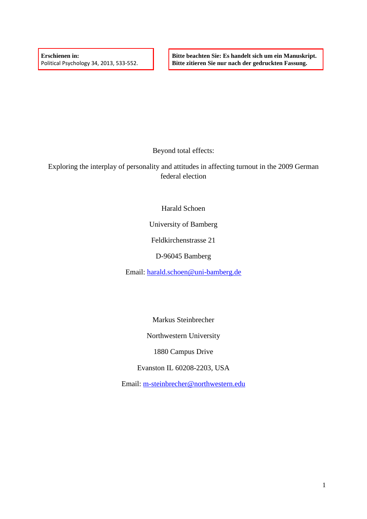**Erschienen in:** Bitte beachten Sie: Es handelt sich um ein Manuskript.<br>Political Psychology 34, 2013, 533-552.<br>**Bitte zitieren Sie nur nach der gedruckten Fassung.** Bitte zitieren Sie nur nach der gedruckten Fassung.

Beyond total effects:

Exploring the interplay of personality and attitudes in affecting turnout in the 2009 German federal election

Harald Schoen

University of Bamberg

Feldkirchenstrasse 21

D-96045 Bamberg

Email: [harald.schoen@uni-bamberg.de](mailto:harald.schoen@uni-bamberg.de)

Markus Steinbrecher

Northwestern University

1880 Campus Drive

Evanston IL 60208-2203, USA

<span id="page-0-0"></span>Email: [m-steinbrecher@northwestern.edu](mailto:m-steinbrecher@northwestern.edu)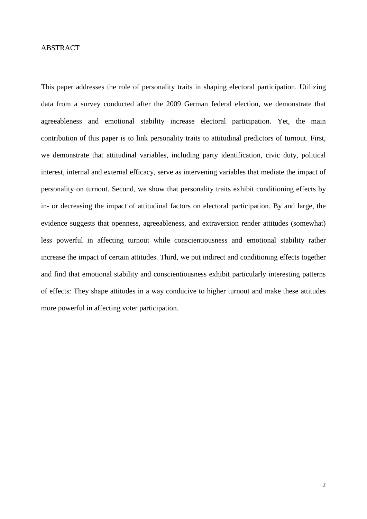#### ABSTRACT

This paper addresses the role of personality traits in shaping electoral participation. Utilizing data from a survey conducted after the 2009 German federal election, we demonstrate that agreeableness and emotional stability increase electoral participation. Yet, the main contribution of this paper is to link personality traits to attitudinal predictors of turnout. First, we demonstrate that attitudinal variables, including party identification, civic duty, political interest, internal and external efficacy, serve as intervening variables that mediate the impact of personality on turnout. Second, we show that personality traits exhibit conditioning effects by in- or decreasing the impact of attitudinal factors on electoral participation. By and large, the evidence suggests that openness, agreeableness, and extraversion render attitudes (somewhat) less powerful in affecting turnout while conscientiousness and emotional stability rather increase the impact of certain attitudes. Third, we put indirect and conditioning effects together and find that emotional stability and conscientiousness exhibit particularly interesting patterns of effects: They shape attitudes in a way conducive to higher turnout and make these attitudes more powerful in affecting voter participation.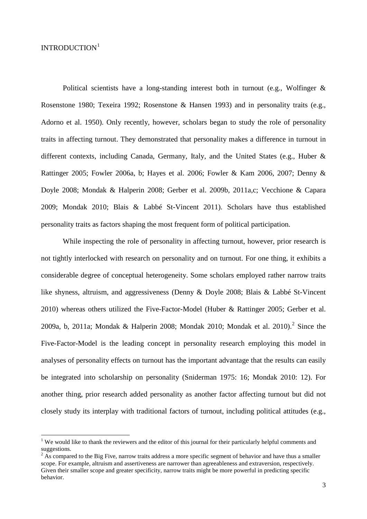## INTRODUCTION<sup>[1](#page-0-0)</sup>

Political scientists have a long-standing interest both in turnout (e.g., Wolfinger & Rosenstone 1980; Texeira 1992; Rosenstone & Hansen 1993) and in personality traits (e.g., Adorno et al. 1950). Only recently, however, scholars began to study the role of personality traits in affecting turnout. They demonstrated that personality makes a difference in turnout in different contexts, including Canada, Germany, Italy, and the United States (e.g., Huber & Rattinger 2005; Fowler 2006a, b; Hayes et al. 2006; Fowler & Kam 2006, 2007; Denny & Doyle 2008; Mondak & Halperin 2008; Gerber et al. 2009b, 2011a,c; Vecchione & Capara 2009; Mondak 2010; Blais & Labbé St-Vincent 2011). Scholars have thus established personality traits as factors shaping the most frequent form of political participation.

While inspecting the role of personality in affecting turnout, however, prior research is not tightly interlocked with research on personality and on turnout. For one thing, it exhibits a considerable degree of conceptual heterogeneity. Some scholars employed rather narrow traits like shyness, altruism, and aggressiveness (Denny & Doyle 2008; Blais & Labbé St-Vincent 2010) whereas others utilized the Five-Factor-Model (Huber & Rattinger 2005; Gerber et al. [2](#page-2-0)009a, b, 2011a; Mondak & Halperin 2008; Mondak 2010; Mondak et al. 2010).<sup>2</sup> Since the Five-Factor-Model is the leading concept in personality research employing this model in analyses of personality effects on turnout has the important advantage that the results can easily be integrated into scholarship on personality (Sniderman 1975: 16; Mondak 2010: 12). For another thing, prior research added personality as another factor affecting turnout but did not closely study its interplay with traditional factors of turnout, including political attitudes (e.g.,

<sup>&</sup>lt;sup>1</sup> We would like to thank the reviewers and the editor of this journal for their particularly helpful comments and suggestions.

<span id="page-2-1"></span><span id="page-2-0"></span> $<sup>2</sup>$  As compared to the Big Five, narrow traits address a more specific segment of behavior and have thus a smaller</sup> scope. For example, altruism and assertiveness are narrower than agreeableness and extraversion, respectively. Given their smaller scope and greater specificity, narrow traits might be more powerful in predicting specific behavior.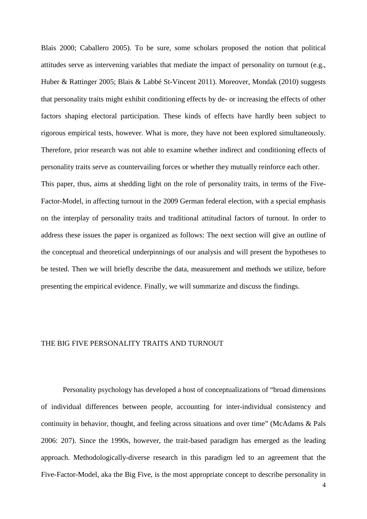Blais 2000; Caballero 2005). To be sure, some scholars proposed the notion that political attitudes serve as intervening variables that mediate the impact of personality on turnout (e.g., Huber & Rattinger 2005; Blais & Labbé St-Vincent 2011). Moreover, Mondak (2010) suggests that personality traits might exhibit conditioning effects by de- or increasing the effects of other factors shaping electoral participation. These kinds of effects have hardly been subject to rigorous empirical tests, however. What is more, they have not been explored simultaneously. Therefore, prior research was not able to examine whether indirect and conditioning effects of personality traits serve as countervailing forces or whether they mutually reinforce each other. This paper, thus, aims at shedding light on the role of personality traits, in terms of the Five-Factor-Model, in affecting turnout in the 2009 German federal election, with a special emphasis on the interplay of personality traits and traditional attitudinal factors of turnout. In order to address these issues the paper is organized as follows: The next section will give an outline of the conceptual and theoretical underpinnings of our analysis and will present the hypotheses to be tested. Then we will briefly describe the data, measurement and methods we utilize, before presenting the empirical evidence. Finally, we will summarize and discuss the findings.

### THE BIG FIVE PERSONALITY TRAITS AND TURNOUT

Personality psychology has developed a host of conceptualizations of "broad dimensions of individual differences between people, accounting for inter-individual consistency and continuity in behavior, thought, and feeling across situations and over time" (McAdams & Pals 2006: 207). Since the 1990s, however, the trait-based paradigm has emerged as the leading approach. Methodologically-diverse research in this paradigm led to an agreement that the Five-Factor-Model, aka the Big Five, is the most appropriate concept to describe personality in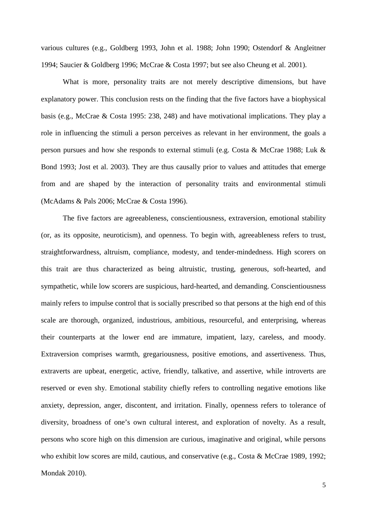various cultures (e.g., Goldberg 1993, John et al. 1988; John 1990; Ostendorf & Angleitner 1994; Saucier & Goldberg 1996; McCrae & Costa 1997; but see also Cheung et al. 2001).

What is more, personality traits are not merely descriptive dimensions, but have explanatory power. This conclusion rests on the finding that the five factors have a biophysical basis (e.g., McCrae & Costa 1995: 238, 248) and have motivational implications. They play a role in influencing the stimuli a person perceives as relevant in her environment, the goals a person pursues and how she responds to external stimuli (e.g. Costa & McCrae 1988; Luk & Bond 1993; Jost et al. 2003). They are thus causally prior to values and attitudes that emerge from and are shaped by the interaction of personality traits and environmental stimuli (McAdams & Pals 2006; McCrae & Costa 1996).

The five factors are agreeableness, conscientiousness, extraversion, emotional stability (or, as its opposite, neuroticism), and openness. To begin with, agreeableness refers to trust, straightforwardness, altruism, compliance, modesty, and tender-mindedness. High scorers on this trait are thus characterized as being altruistic, trusting, generous, soft-hearted, and sympathetic, while low scorers are suspicious, hard-hearted, and demanding. Conscientiousness mainly refers to impulse control that is socially prescribed so that persons at the high end of this scale are thorough, organized, industrious, ambitious, resourceful, and enterprising, whereas their counterparts at the lower end are immature, impatient, lazy, careless, and moody. Extraversion comprises warmth, gregariousness, positive emotions, and assertiveness. Thus, extraverts are upbeat, energetic, active, friendly, talkative, and assertive, while introverts are reserved or even shy. Emotional stability chiefly refers to controlling negative emotions like anxiety, depression, anger, discontent, and irritation. Finally, openness refers to tolerance of diversity, broadness of one's own cultural interest, and exploration of novelty. As a result, persons who score high on this dimension are curious, imaginative and original, while persons who exhibit low scores are mild, cautious, and conservative (e.g., Costa & McCrae 1989, 1992; Mondak 2010).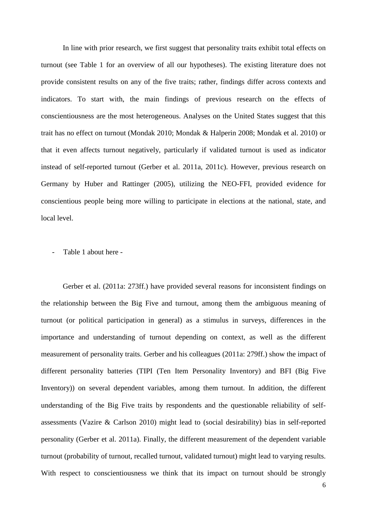In line with prior research, we first suggest that personality traits exhibit total effects on turnout (see Table 1 for an overview of all our hypotheses). The existing literature does not provide consistent results on any of the five traits; rather, findings differ across contexts and indicators. To start with, the main findings of previous research on the effects of conscientiousness are the most heterogeneous. Analyses on the United States suggest that this trait has no effect on turnout (Mondak 2010; Mondak & Halperin 2008; Mondak et al. 2010) or that it even affects turnout negatively, particularly if validated turnout is used as indicator instead of self-reported turnout (Gerber et al. 2011a, 2011c). However, previous research on Germany by Huber and Rattinger (2005), utilizing the NEO-FFI, provided evidence for conscientious people being more willing to participate in elections at the national, state, and local level.

Table 1 about here -

Gerber et al. (2011a: 273ff.) have provided several reasons for inconsistent findings on the relationship between the Big Five and turnout, among them the ambiguous meaning of turnout (or political participation in general) as a stimulus in surveys, differences in the importance and understanding of turnout depending on context, as well as the different measurement of personality traits. Gerber and his colleagues (2011a: 279ff.) show the impact of different personality batteries (TIPI (Ten Item Personality Inventory) and BFI (Big Five Inventory)) on several dependent variables, among them turnout. In addition, the different understanding of the Big Five traits by respondents and the questionable reliability of selfassessments (Vazire & Carlson 2010) might lead to (social desirability) bias in self-reported personality (Gerber et al. 2011a). Finally, the different measurement of the dependent variable turnout (probability of turnout, recalled turnout, validated turnout) might lead to varying results. With respect to conscientiousness we think that its impact on turnout should be strongly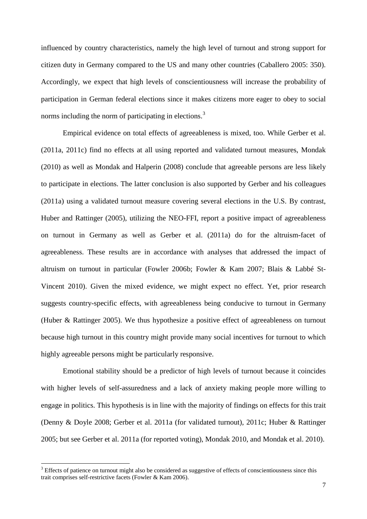influenced by country characteristics, namely the high level of turnout and strong support for citizen duty in Germany compared to the US and many other countries (Caballero 2005: 350). Accordingly, we expect that high levels of conscientiousness will increase the probability of participation in German federal elections since it makes citizens more eager to obey to social norms including the norm of participating in elections.<sup>[3](#page-2-1)</sup>

Empirical evidence on total effects of agreeableness is mixed, too. While Gerber et al. (2011a, 2011c) find no effects at all using reported and validated turnout measures, Mondak (2010) as well as Mondak and Halperin (2008) conclude that agreeable persons are less likely to participate in elections. The latter conclusion is also supported by Gerber and his colleagues (2011a) using a validated turnout measure covering several elections in the U.S. By contrast, Huber and Rattinger (2005), utilizing the NEO-FFI, report a positive impact of agreeableness on turnout in Germany as well as Gerber et al. (2011a) do for the altruism-facet of agreeableness. These results are in accordance with analyses that addressed the impact of altruism on turnout in particular (Fowler 2006b; Fowler & Kam 2007; Blais & Labbé St-Vincent 2010). Given the mixed evidence, we might expect no effect. Yet, prior research suggests country-specific effects, with agreeableness being conducive to turnout in Germany (Huber & Rattinger 2005). We thus hypothesize a positive effect of agreeableness on turnout because high turnout in this country might provide many social incentives for turnout to which highly agreeable persons might be particularly responsive.

<span id="page-6-0"></span>Emotional stability should be a predictor of high levels of turnout because it coincides with higher levels of self-assuredness and a lack of anxiety making people more willing to engage in politics. This hypothesis is in line with the majority of findings on effects for this trait (Denny & Doyle 2008; Gerber et al. 2011a (for validated turnout), 2011c; Huber & Rattinger 2005; but see Gerber et al. 2011a (for reported voting), Mondak 2010, and Mondak et al. 2010).

<sup>&</sup>lt;sup>3</sup> Effects of patience on turnout might also be considered as suggestive of effects of conscientiousness since this trait comprises self-restrictive facets (Fowler & Kam 2006).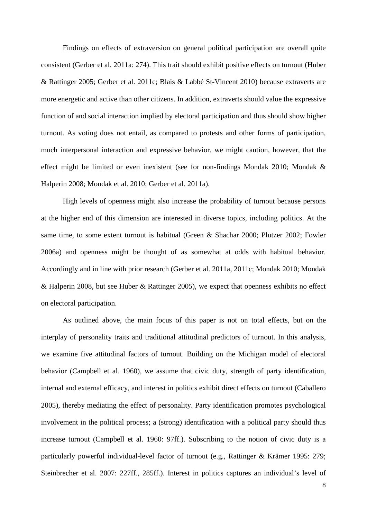Findings on effects of extraversion on general political participation are overall quite consistent (Gerber et al. 2011a: 274). This trait should exhibit positive effects on turnout (Huber & Rattinger 2005; Gerber et al. 2011c; Blais & Labbé St-Vincent 2010) because extraverts are more energetic and active than other citizens. In addition, extraverts should value the expressive function of and social interaction implied by electoral participation and thus should show higher turnout. As voting does not entail, as compared to protests and other forms of participation, much interpersonal interaction and expressive behavior, we might caution, however, that the effect might be limited or even inexistent (see for non-findings Mondak 2010; Mondak & Halperin 2008; Mondak et al. 2010; Gerber et al. 2011a).

High levels of openness might also increase the probability of turnout because persons at the higher end of this dimension are interested in diverse topics, including politics. At the same time, to some extent turnout is habitual (Green & Shachar 2000; Plutzer 2002; Fowler 2006a) and openness might be thought of as somewhat at odds with habitual behavior. Accordingly and in line with prior research (Gerber et al. 2011a, 2011c; Mondak 2010; Mondak & Halperin 2008, but see Huber & Rattinger 2005), we expect that openness exhibits no effect on electoral participation.

As outlined above, the main focus of this paper is not on total effects, but on the interplay of personality traits and traditional attitudinal predictors of turnout. In this analysis, we examine five attitudinal factors of turnout. Building on the Michigan model of electoral behavior (Campbell et al. 1960), we assume that civic duty, strength of party identification, internal and external efficacy, and interest in politics exhibit direct effects on turnout (Caballero 2005), thereby mediating the effect of personality. Party identification promotes psychological involvement in the political process; a (strong) identification with a political party should thus increase turnout (Campbell et al. 1960: 97ff.). Subscribing to the notion of civic duty is a particularly powerful individual-level factor of turnout (e.g., Rattinger & Krämer 1995: 279; Steinbrecher et al. 2007: 227ff., 285ff.). Interest in politics captures an individual's level of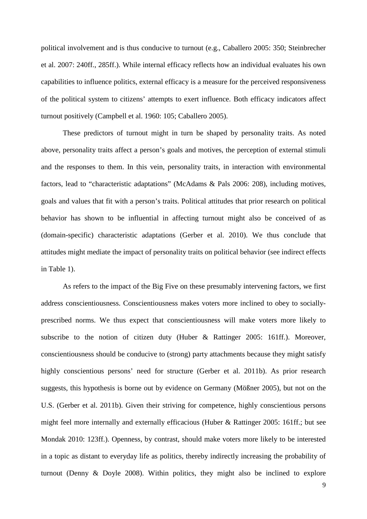political involvement and is thus conducive to turnout (e.g., Caballero 2005: 350; Steinbrecher et al. 2007: 240ff., 285ff.). While internal efficacy reflects how an individual evaluates his own capabilities to influence politics, external efficacy is a measure for the perceived responsiveness of the political system to citizens' attempts to exert influence. Both efficacy indicators affect turnout positively (Campbell et al. 1960: 105; Caballero 2005).

These predictors of turnout might in turn be shaped by personality traits. As noted above, personality traits affect a person's goals and motives, the perception of external stimuli and the responses to them. In this vein, personality traits, in interaction with environmental factors, lead to "characteristic adaptations" (McAdams & Pals 2006: 208), including motives, goals and values that fit with a person's traits. Political attitudes that prior research on political behavior has shown to be influential in affecting turnout might also be conceived of as (domain-specific) characteristic adaptations (Gerber et al. 2010). We thus conclude that attitudes might mediate the impact of personality traits on political behavior (see indirect effects in Table 1).

As refers to the impact of the Big Five on these presumably intervening factors, we first address conscientiousness. Conscientiousness makes voters more inclined to obey to sociallyprescribed norms. We thus expect that conscientiousness will make voters more likely to subscribe to the notion of citizen duty (Huber & Rattinger 2005: 161ff.). Moreover, conscientiousness should be conducive to (strong) party attachments because they might satisfy highly conscientious persons' need for structure (Gerber et al. 2011b). As prior research suggests, this hypothesis is borne out by evidence on Germany (Mößner 2005), but not on the U.S. (Gerber et al. 2011b). Given their striving for competence, highly conscientious persons might feel more internally and externally efficacious (Huber & Rattinger 2005: 161ff.; but see Mondak 2010: 123ff.). Openness, by contrast, should make voters more likely to be interested in a topic as distant to everyday life as politics, thereby indirectly increasing the probability of turnout (Denny & Doyle 2008). Within politics, they might also be inclined to explore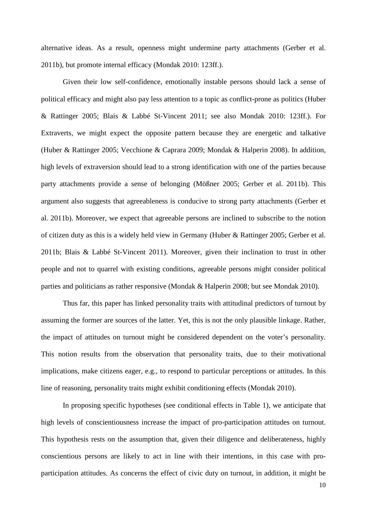alternative ideas. As a result, openness might undermine party attachments (Gerber et al. 2011b), but promote internal efficacy (Mondak 2010: 123ff.).

Given their low self-confidence, emotionally instable persons should lack a sense of political efficacy and might also pay less attention to a topic as conflict-prone as politics (Huber & Rattinger 2005; Blais & Labbé St-Vincent 2011; see also Mondak 2010: 123ff.). For Extraverts, we might expect the opposite pattern because they are energetic and talkative (Huber & Rattinger 2005; Vecchione & Caprara 2009; Mondak & Halperin 2008). In addition, high levels of extraversion should lead to a strong identification with one of the parties because party attachments provide a sense of belonging (Mößner 2005; Gerber et al. 2011b). This argument also suggests that agreeableness is conducive to strong party attachments (Gerber et al. 2011b). Moreover, we expect that agreeable persons are inclined to subscribe to the notion of citizen duty as this is a widely held view in Germany (Huber & Rattinger 2005; Gerber et al. 2011b; Blais & Labbé St-Vincent 2011). Moreover, given their inclination to trust in other people and not to quarrel with existing conditions, agreeable persons might consider political parties and politicians as rather responsive (Mondak & Halperin 2008; but see Mondak 2010).

Thus far, this paper has linked personality traits with attitudinal predictors of turnout by assuming the former are sources of the latter. Yet, this is not the only plausible linkage. Rather, the impact of attitudes on turnout might be considered dependent on the voter's personality. This notion results from the observation that personality traits, due to their motivational implications, make citizens eager, e.g., to respond to particular perceptions or attitudes. In this line of reasoning, personality traits might exhibit conditioning effects (Mondak 2010).

In proposing specific hypotheses (see conditional effects in Table 1), we anticipate that high levels of conscientiousness increase the impact of pro-participation attitudes on turnout. This hypothesis rests on the assumption that, given their diligence and deliberateness, highly conscientious persons are likely to act in line with their intentions, in this case with proparticipation attitudes. As concerns the effect of civic duty on turnout, in addition, it might be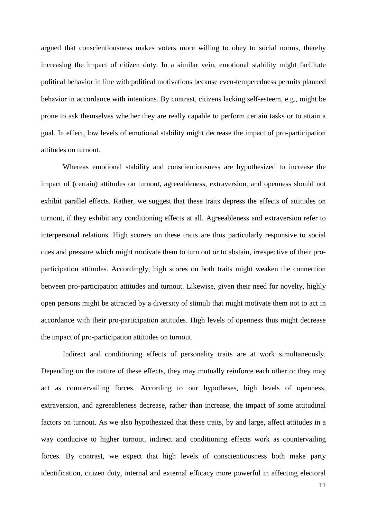argued that conscientiousness makes voters more willing to obey to social norms, thereby increasing the impact of citizen duty. In a similar vein, emotional stability might facilitate political behavior in line with political motivations because even-temperedness permits planned behavior in accordance with intentions. By contrast, citizens lacking self-esteem, e.g., might be prone to ask themselves whether they are really capable to perform certain tasks or to attain a goal. In effect, low levels of emotional stability might decrease the impact of pro-participation attitudes on turnout.

Whereas emotional stability and conscientiousness are hypothesized to increase the impact of (certain) attitudes on turnout, agreeableness, extraversion, and openness should not exhibit parallel effects. Rather, we suggest that these traits depress the effects of attitudes on turnout, if they exhibit any conditioning effects at all. Agreeableness and extraversion refer to interpersonal relations. High scorers on these traits are thus particularly responsive to social cues and pressure which might motivate them to turn out or to abstain, irrespective of their proparticipation attitudes. Accordingly, high scores on both traits might weaken the connection between pro-participation attitudes and turnout. Likewise, given their need for novelty, highly open persons might be attracted by a diversity of stimuli that might motivate them not to act in accordance with their pro-participation attitudes. High levels of openness thus might decrease the impact of pro-participation attitudes on turnout.

Indirect and conditioning effects of personality traits are at work simultaneously. Depending on the nature of these effects, they may mutually reinforce each other or they may act as countervailing forces. According to our hypotheses, high levels of openness, extraversion, and agreeableness decrease, rather than increase, the impact of some attitudinal factors on turnout. As we also hypothesized that these traits, by and large, affect attitudes in a way conducive to higher turnout, indirect and conditioning effects work as countervailing forces. By contrast, we expect that high levels of conscientiousness both make party identification, citizen duty, internal and external efficacy more powerful in affecting electoral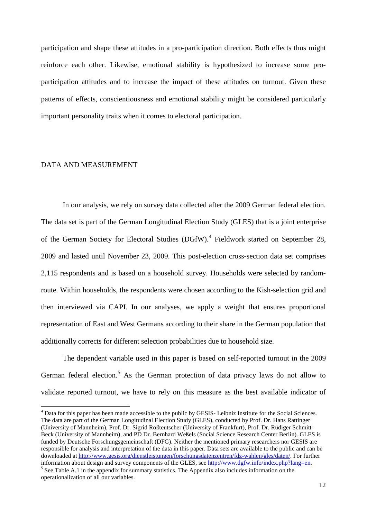participation and shape these attitudes in a pro-participation direction. Both effects thus might reinforce each other. Likewise, emotional stability is hypothesized to increase some proparticipation attitudes and to increase the impact of these attitudes on turnout. Given these patterns of effects, conscientiousness and emotional stability might be considered particularly important personality traits when it comes to electoral participation.

#### DATA AND MEASUREMENT

In our analysis, we rely on survey data collected after the 2009 German federal election. The data set is part of the German Longitudinal Election Study (GLES) that is a joint enterprise of the German Society for Electoral Studies (DGfW).<sup>[4](#page-6-0)</sup> Fieldwork started on September 28, 2009 and lasted until November 23, 2009. This post-election cross-section data set comprises 2,115 respondents and is based on a household survey. Households were selected by randomroute. Within households, the respondents were chosen according to the Kish-selection grid and then interviewed via CAPI. In our analyses, we apply a weight that ensures proportional representation of East and West Germans according to their share in the German population that additionally corrects for different selection probabilities due to household size.

The dependent variable used in this paper is based on self-reported turnout in the 2009 German federal election.<sup>[5](#page-11-0)</sup> As the German protection of data privacy laws do not allow to validate reported turnout, we have to rely on this measure as the best available indicator of

<sup>4</sup> Data for this paper has been made accessible to the public by GESIS- Leibniz Institute for the Social Sciences. The data are part of the German Longitudinal Election Study (GLES), conducted by Prof. Dr. Hans Rattinger (University of Mannheim), Prof. Dr. Sigrid Roßteutscher (University of Frankfurt), Prof. Dr. Rüdiger Schmitt-Beck (University of Mannheim), and PD Dr. Bernhard Weßels (Social Science Research Center Berlin). GLES is funded by Deutsche Forschungsgemeinschaft (DFG). Neither the mentioned primary researchers nor GESIS are responsible for analysis and interpretation of the data in this paper. Data sets are available to the public and can be downloaded a[t http://www.gesis.org/dienstleistungen/forschungsdatenzentren/fdz-wahlen/gles/daten/.](http://www.gesis.org/dienstleistungen/forschungsdatenzentren/fdz-wahlen/gles/daten/) For further information about design and survey components of the GLES, see http://www.dgfw.info/index.php?lang=en.

<span id="page-11-1"></span><span id="page-11-0"></span> $5$  See Table A.1 in the appendix for summary statistics. The Appendix also includes information on the operationalization of all our variables.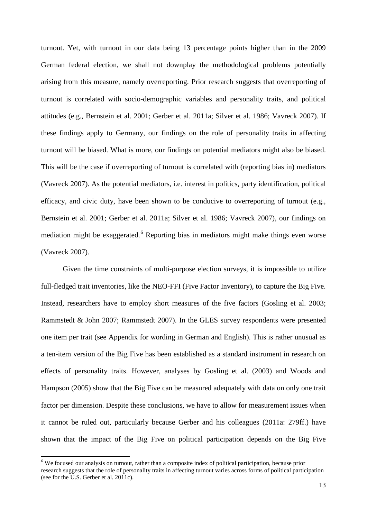turnout. Yet, with turnout in our data being 13 percentage points higher than in the 2009 German federal election, we shall not downplay the methodological problems potentially arising from this measure, namely overreporting. Prior research suggests that overreporting of turnout is correlated with socio-demographic variables and personality traits, and political attitudes (e.g., Bernstein et al. 2001; Gerber et al. 2011a; Silver et al. 1986; Vavreck 2007). If these findings apply to Germany, our findings on the role of personality traits in affecting turnout will be biased. What is more, our findings on potential mediators might also be biased. This will be the case if overreporting of turnout is correlated with (reporting bias in) mediators (Vavreck 2007). As the potential mediators, i.e. interest in politics, party identification, political efficacy, and civic duty, have been shown to be conducive to overreporting of turnout (e.g., Bernstein et al. 2001; Gerber et al. 2011a; Silver et al. 1986; Vavreck 2007), our findings on mediation might be exaggerated.<sup>[6](#page-11-1)</sup> Reporting bias in mediators might make things even worse (Vavreck 2007).

Given the time constraints of multi-purpose election surveys, it is impossible to utilize full-fledged trait inventories, like the NEO-FFI (Five Factor Inventory), to capture the Big Five. Instead, researchers have to employ short measures of the five factors (Gosling et al. 2003; Rammstedt & John 2007; Rammstedt 2007). In the GLES survey respondents were presented one item per trait (see Appendix for wording in German and English). This is rather unusual as a ten-item version of the Big Five has been established as a standard instrument in research on effects of personality traits. However, analyses by Gosling et al. (2003) and Woods and Hampson (2005) show that the Big Five can be measured adequately with data on only one trait factor per dimension. Despite these conclusions, we have to allow for measurement issues when it cannot be ruled out, particularly because Gerber and his colleagues (2011a: 279ff.) have shown that the impact of the Big Five on political participation depends on the Big Five

<span id="page-12-0"></span><sup>&</sup>lt;sup>6</sup> We focused our analysis on turnout, rather than a composite index of political participation, because prior research suggests that the role of personality traits in affecting turnout varies across forms of political participation (see for the U.S. Gerber et al. 2011c).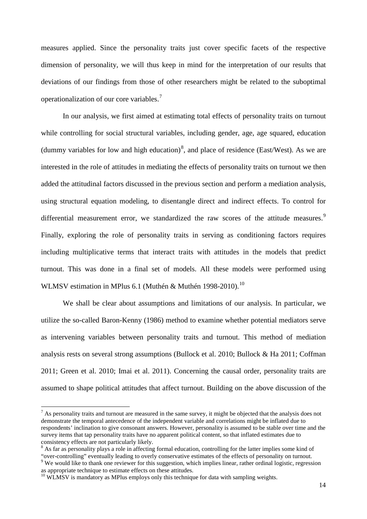measures applied. Since the personality traits just cover specific facets of the respective dimension of personality, we will thus keep in mind for the interpretation of our results that deviations of our findings from those of other researchers might be related to the suboptimal operationalization of our core variables.[7](#page-12-0)

In our analysis, we first aimed at estimating total effects of personality traits on turnout while controlling for social structural variables, including gender, age, age squared, education (dummy variables for low and high education)<sup>[8](#page-13-0)</sup>, and place of residence (East/West). As we are interested in the role of attitudes in mediating the effects of personality traits on turnout we then added the attitudinal factors discussed in the previous section and perform a mediation analysis, using structural equation modeling, to disentangle direct and indirect effects. To control for differential measurement error, we standardized the raw scores of the attitude measures.<sup>[9](#page-13-1)</sup> Finally, exploring the role of personality traits in serving as conditioning factors requires including multiplicative terms that interact traits with attitudes in the models that predict turnout. This was done in a final set of models. All these models were performed using WLMSV estimation in MPlus 6.1 (Muthén & Muthén 1998-20[10](#page-13-2)).<sup>10</sup>

We shall be clear about assumptions and limitations of our analysis. In particular, we utilize the so-called Baron-Kenny (1986) method to examine whether potential mediators serve as intervening variables between personality traits and turnout. This method of mediation analysis rests on several strong assumptions (Bullock et al. 2010; Bullock & Ha 2011; Coffman 2011; Green et al. 2010; Imai et al. 2011). Concerning the causal order, personality traits are assumed to shape political attitudes that affect turnout. Building on the above discussion of the

 $<sup>7</sup>$  As personality traits and turnout are measured in the same survey, it might be objected that the analysis does not</sup> demonstrate the temporal antecedence of the independent variable and correlations might be inflated due to respondents' inclination to give consonant answers. However, personality is assumed to be stable over time and the survey items that tap personality traits have no apparent political content, so that inflated estimates due to consistency effects are not particularly likely.

<span id="page-13-0"></span> $8$  As far as personality plays a role in affecting formal education, controlling for the latter implies some kind of "over-controlling" eventually leading to overly conservative estimates of the effects of personality on <sup>9</sup> We would like to thank one reviewer for this suggestion, which implies linear, rather ordinal logistic, regression as appropriate technique to estimate effects on these attitudes.

<span id="page-13-3"></span><span id="page-13-2"></span><span id="page-13-1"></span> $10$  WLMSV is mandatory as MPlus employs only this technique for data with sampling weights.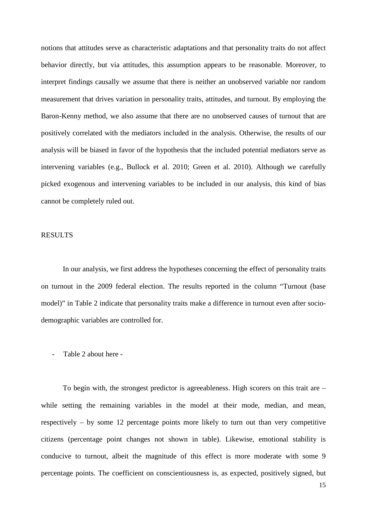notions that attitudes serve as characteristic adaptations and that personality traits do not affect behavior directly, but via attitudes, this assumption appears to be reasonable. Moreover, to interpret findings causally we assume that there is neither an unobserved variable nor random measurement that drives variation in personality traits, attitudes, and turnout. By employing the Baron-Kenny method, we also assume that there are no unobserved causes of turnout that are positively correlated with the mediators included in the analysis. Otherwise, the results of our analysis will be biased in favor of the hypothesis that the included potential mediators serve as intervening variables (e.g., Bullock et al. 2010; Green et al. 2010). Although we carefully picked exogenous and intervening variables to be included in our analysis, this kind of bias cannot be completely ruled out.

#### RESULTS

In our analysis, we first address the hypotheses concerning the effect of personality traits on turnout in the 2009 federal election. The results reported in the column "Turnout (base model)" in Table 2 indicate that personality traits make a difference in turnout even after sociodemographic variables are controlled for.

- Table 2 about here -

To begin with, the strongest predictor is agreeableness. High scorers on this trait are – while setting the remaining variables in the model at their mode, median, and mean, respectively – by some 12 percentage points more likely to turn out than very competitive citizens (percentage point changes not shown in table). Likewise, emotional stability is conducive to turnout, albeit the magnitude of this effect is more moderate with some 9 percentage points. The coefficient on conscientiousness is, as expected, positively signed, but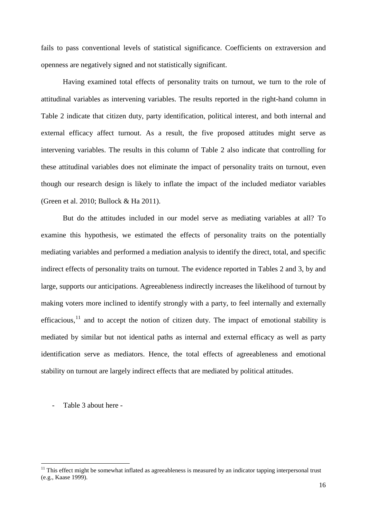fails to pass conventional levels of statistical significance. Coefficients on extraversion and openness are negatively signed and not statistically significant.

Having examined total effects of personality traits on turnout, we turn to the role of attitudinal variables as intervening variables. The results reported in the right-hand column in Table 2 indicate that citizen duty, party identification, political interest, and both internal and external efficacy affect turnout. As a result, the five proposed attitudes might serve as intervening variables. The results in this column of Table 2 also indicate that controlling for these attitudinal variables does not eliminate the impact of personality traits on turnout, even though our research design is likely to inflate the impact of the included mediator variables (Green et al. 2010; Bullock & Ha 2011).

But do the attitudes included in our model serve as mediating variables at all? To examine this hypothesis, we estimated the effects of personality traits on the potentially mediating variables and performed a mediation analysis to identify the direct, total, and specific indirect effects of personality traits on turnout. The evidence reported in Tables 2 and 3, by and large, supports our anticipations. Agreeableness indirectly increases the likelihood of turnout by making voters more inclined to identify strongly with a party, to feel internally and externally efficacious, $11$  and to accept the notion of citizen duty. The impact of emotional stability is mediated by similar but not identical paths as internal and external efficacy as well as party identification serve as mediators. Hence, the total effects of agreeableness and emotional stability on turnout are largely indirect effects that are mediated by political attitudes.

- Table 3 about here -

 $11$  This effect might be somewhat inflated as agreeableness is measured by an indicator tapping interpersonal trust (e.g., Kaase 1999).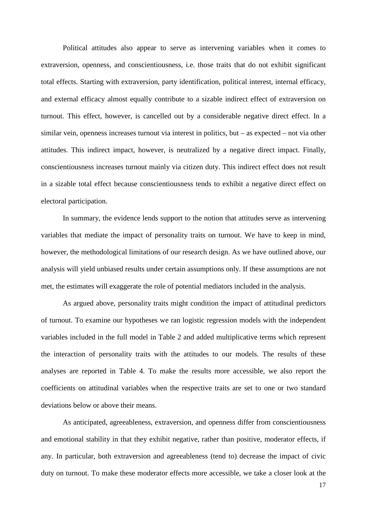Political attitudes also appear to serve as intervening variables when it comes to extraversion, openness, and conscientiousness, i.e. those traits that do not exhibit significant total effects. Starting with extraversion, party identification, political interest, internal efficacy, and external efficacy almost equally contribute to a sizable indirect effect of extraversion on turnout. This effect, however, is cancelled out by a considerable negative direct effect. In a similar vein, openness increases turnout via interest in politics, but – as expected – not via other attitudes. This indirect impact, however, is neutralized by a negative direct impact. Finally, conscientiousness increases turnout mainly via citizen duty. This indirect effect does not result in a sizable total effect because conscientiousness tends to exhibit a negative direct effect on electoral participation.

In summary, the evidence lends support to the notion that attitudes serve as intervening variables that mediate the impact of personality traits on turnout. We have to keep in mind, however, the methodological limitations of our research design. As we have outlined above, our analysis will yield unbiased results under certain assumptions only. If these assumptions are not met, the estimates will exaggerate the role of potential mediators included in the analysis.

As argued above, personality traits might condition the impact of attitudinal predictors of turnout. To examine our hypotheses we ran logistic regression models with the independent variables included in the full model in Table 2 and added multiplicative terms which represent the interaction of personality traits with the attitudes to our models. The results of these analyses are reported in Table 4. To make the results more accessible, we also report the coefficients on attitudinal variables when the respective traits are set to one or two standard deviations below or above their means.

As anticipated, agreeableness, extraversion, and openness differ from conscientiousness and emotional stability in that they exhibit negative, rather than positive, moderator effects, if any. In particular, both extraversion and agreeableness (tend to) decrease the impact of civic duty on turnout. To make these moderator effects more accessible, we take a closer look at the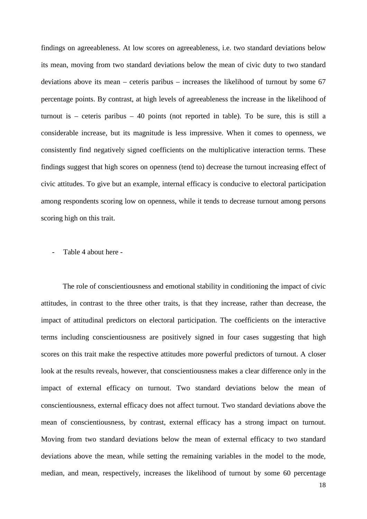findings on agreeableness. At low scores on agreeableness, i.e. two standard deviations below its mean, moving from two standard deviations below the mean of civic duty to two standard deviations above its mean – ceteris paribus – increases the likelihood of turnout by some 67 percentage points. By contrast, at high levels of agreeableness the increase in the likelihood of turnout is – ceteris paribus – 40 points (not reported in table). To be sure, this is still a considerable increase, but its magnitude is less impressive. When it comes to openness, we consistently find negatively signed coefficients on the multiplicative interaction terms. These findings suggest that high scores on openness (tend to) decrease the turnout increasing effect of civic attitudes. To give but an example, internal efficacy is conducive to electoral participation among respondents scoring low on openness, while it tends to decrease turnout among persons scoring high on this trait.

Table 4 about here -

The role of conscientiousness and emotional stability in conditioning the impact of civic attitudes, in contrast to the three other traits, is that they increase, rather than decrease, the impact of attitudinal predictors on electoral participation. The coefficients on the interactive terms including conscientiousness are positively signed in four cases suggesting that high scores on this trait make the respective attitudes more powerful predictors of turnout. A closer look at the results reveals, however, that conscientiousness makes a clear difference only in the impact of external efficacy on turnout. Two standard deviations below the mean of conscientiousness, external efficacy does not affect turnout. Two standard deviations above the mean of conscientiousness, by contrast, external efficacy has a strong impact on turnout. Moving from two standard deviations below the mean of external efficacy to two standard deviations above the mean, while setting the remaining variables in the model to the mode, median, and mean, respectively, increases the likelihood of turnout by some 60 percentage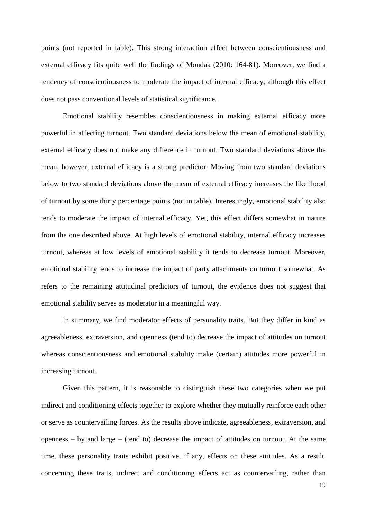points (not reported in table). This strong interaction effect between conscientiousness and external efficacy fits quite well the findings of Mondak (2010: 164-81). Moreover, we find a tendency of conscientiousness to moderate the impact of internal efficacy, although this effect does not pass conventional levels of statistical significance.

Emotional stability resembles conscientiousness in making external efficacy more powerful in affecting turnout. Two standard deviations below the mean of emotional stability, external efficacy does not make any difference in turnout. Two standard deviations above the mean, however, external efficacy is a strong predictor: Moving from two standard deviations below to two standard deviations above the mean of external efficacy increases the likelihood of turnout by some thirty percentage points (not in table). Interestingly, emotional stability also tends to moderate the impact of internal efficacy. Yet, this effect differs somewhat in nature from the one described above. At high levels of emotional stability, internal efficacy increases turnout, whereas at low levels of emotional stability it tends to decrease turnout. Moreover, emotional stability tends to increase the impact of party attachments on turnout somewhat. As refers to the remaining attitudinal predictors of turnout, the evidence does not suggest that emotional stability serves as moderator in a meaningful way.

In summary, we find moderator effects of personality traits. But they differ in kind as agreeableness, extraversion, and openness (tend to) decrease the impact of attitudes on turnout whereas conscientiousness and emotional stability make (certain) attitudes more powerful in increasing turnout.

Given this pattern, it is reasonable to distinguish these two categories when we put indirect and conditioning effects together to explore whether they mutually reinforce each other or serve as countervailing forces. As the results above indicate, agreeableness, extraversion, and openness  $-$  by and large  $-$  (tend to) decrease the impact of attitudes on turnout. At the same time, these personality traits exhibit positive, if any, effects on these attitudes. As a result, concerning these traits, indirect and conditioning effects act as countervailing, rather than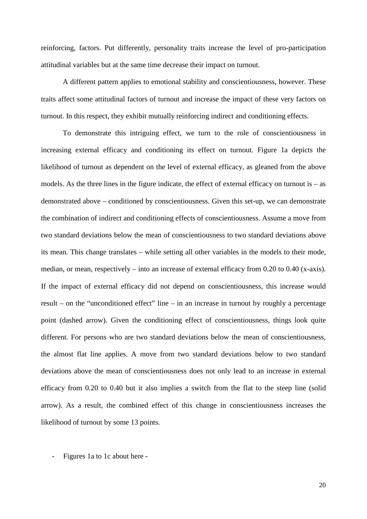reinforcing, factors. Put differently, personality traits increase the level of pro-participation attitudinal variables but at the same time decrease their impact on turnout.

A different pattern applies to emotional stability and conscientiousness, however. These traits affect some attitudinal factors of turnout and increase the impact of these very factors on turnout. In this respect, they exhibit mutually reinforcing indirect and conditioning effects.

To demonstrate this intriguing effect, we turn to the role of conscientiousness in increasing external efficacy and conditioning its effect on turnout. Figure 1a depicts the likelihood of turnout as dependent on the level of external efficacy, as gleaned from the above models. As the three lines in the figure indicate, the effect of external efficacy on turnout is – as demonstrated above – conditioned by conscientiousness. Given this set-up, we can demonstrate the combination of indirect and conditioning effects of conscientiousness. Assume a move from two standard deviations below the mean of conscientiousness to two standard deviations above its mean. This change translates – while setting all other variables in the models to their mode, median, or mean, respectively – into an increase of external efficacy from 0.20 to 0.40 (x-axis). If the impact of external efficacy did not depend on conscientiousness, this increase would result – on the "unconditioned effect" line – in an increase in turnout by roughly a percentage point (dashed arrow). Given the conditioning effect of conscientiousness, things look quite different. For persons who are two standard deviations below the mean of conscientiousness, the almost flat line applies. A move from two standard deviations below to two standard deviations above the mean of conscientiousness does not only lead to an increase in external efficacy from 0.20 to 0.40 but it also implies a switch from the flat to the steep line (solid arrow). As a result, the combined effect of this change in conscientiousness increases the likelihood of turnout by some 13 points.

- Figures 1a to 1c about here -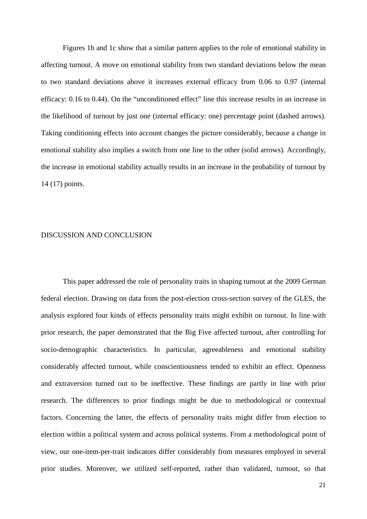Figures 1b and 1c show that a similar pattern applies to the role of emotional stability in affecting turnout. A move on emotional stability from two standard deviations below the mean to two standard deviations above it increases external efficacy from 0.06 to 0.97 (internal efficacy: 0.16 to 0.44). On the "unconditioned effect" line this increase results in an increase in the likelihood of turnout by just one (internal efficacy: one) percentage point (dashed arrows). Taking conditioning effects into account changes the picture considerably, because a change in emotional stability also implies a switch from one line to the other (solid arrows). Accordingly, the increase in emotional stability actually results in an increase in the probability of turnout by 14 (17) points.

#### DISCUSSION AND CONCLUSION

This paper addressed the role of personality traits in shaping turnout at the 2009 German federal election. Drawing on data from the post-election cross-section survey of the GLES, the analysis explored four kinds of effects personality traits might exhibit on turnout. In line with prior research, the paper demonstrated that the Big Five affected turnout, after controlling for socio-demographic characteristics. In particular, agreeableness and emotional stability considerably affected turnout, while conscientiousness tended to exhibit an effect. Openness and extraversion turned out to be ineffective. These findings are partly in line with prior research. The differences to prior findings might be due to methodological or contextual factors. Concerning the latter, the effects of personality traits might differ from election to election within a political system and across political systems. From a methodological point of view, our one-item-per-trait indicators differ considerably from measures employed in several prior studies. Moreover, we utilized self-reported, rather than validated, turnout, so that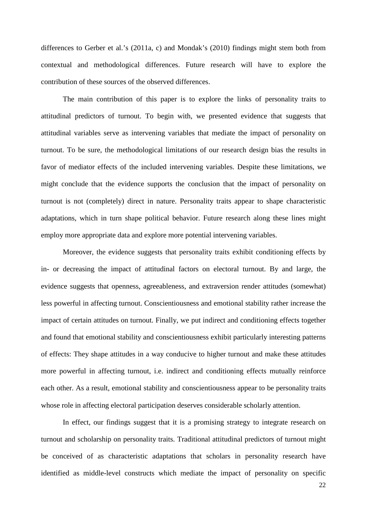differences to Gerber et al.'s (2011a, c) and Mondak's (2010) findings might stem both from contextual and methodological differences. Future research will have to explore the contribution of these sources of the observed differences.

The main contribution of this paper is to explore the links of personality traits to attitudinal predictors of turnout. To begin with, we presented evidence that suggests that attitudinal variables serve as intervening variables that mediate the impact of personality on turnout. To be sure, the methodological limitations of our research design bias the results in favor of mediator effects of the included intervening variables. Despite these limitations, we might conclude that the evidence supports the conclusion that the impact of personality on turnout is not (completely) direct in nature. Personality traits appear to shape characteristic adaptations, which in turn shape political behavior. Future research along these lines might employ more appropriate data and explore more potential intervening variables.

Moreover, the evidence suggests that personality traits exhibit conditioning effects by in- or decreasing the impact of attitudinal factors on electoral turnout. By and large, the evidence suggests that openness, agreeableness, and extraversion render attitudes (somewhat) less powerful in affecting turnout. Conscientiousness and emotional stability rather increase the impact of certain attitudes on turnout. Finally, we put indirect and conditioning effects together and found that emotional stability and conscientiousness exhibit particularly interesting patterns of effects: They shape attitudes in a way conducive to higher turnout and make these attitudes more powerful in affecting turnout, i.e. indirect and conditioning effects mutually reinforce each other. As a result, emotional stability and conscientiousness appear to be personality traits whose role in affecting electoral participation deserves considerable scholarly attention.

In effect, our findings suggest that it is a promising strategy to integrate research on turnout and scholarship on personality traits. Traditional attitudinal predictors of turnout might be conceived of as characteristic adaptations that scholars in personality research have identified as middle-level constructs which mediate the impact of personality on specific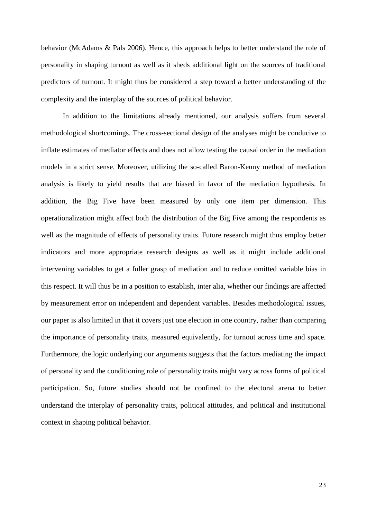behavior (McAdams & Pals 2006). Hence, this approach helps to better understand the role of personality in shaping turnout as well as it sheds additional light on the sources of traditional predictors of turnout. It might thus be considered a step toward a better understanding of the complexity and the interplay of the sources of political behavior.

In addition to the limitations already mentioned, our analysis suffers from several methodological shortcomings. The cross-sectional design of the analyses might be conducive to inflate estimates of mediator effects and does not allow testing the causal order in the mediation models in a strict sense. Moreover, utilizing the so-called Baron-Kenny method of mediation analysis is likely to yield results that are biased in favor of the mediation hypothesis. In addition, the Big Five have been measured by only one item per dimension. This operationalization might affect both the distribution of the Big Five among the respondents as well as the magnitude of effects of personality traits. Future research might thus employ better indicators and more appropriate research designs as well as it might include additional intervening variables to get a fuller grasp of mediation and to reduce omitted variable bias in this respect. It will thus be in a position to establish, inter alia, whether our findings are affected by measurement error on independent and dependent variables. Besides methodological issues, our paper is also limited in that it covers just one election in one country, rather than comparing the importance of personality traits, measured equivalently, for turnout across time and space. Furthermore, the logic underlying our arguments suggests that the factors mediating the impact of personality and the conditioning role of personality traits might vary across forms of political participation. So, future studies should not be confined to the electoral arena to better understand the interplay of personality traits, political attitudes, and political and institutional context in shaping political behavior.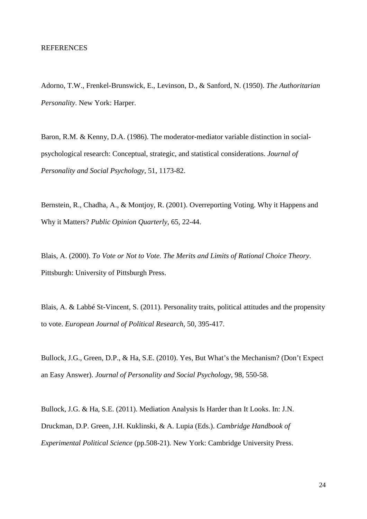#### REFERENCES

Adorno, T.W., Frenkel-Brunswick, E., Levinson, D., & Sanford, N. (1950). *The Authoritarian Personality*. New York: Harper.

Baron, R.M. & Kenny, D.A. (1986). The moderator-mediator variable distinction in socialpsychological research: Conceptual, strategic, and statistical considerations. *Journal of Personality and Social Psychology*, 51, 1173-82.

Bernstein, R., Chadha, A., & Montjoy, R. (2001). Overreporting Voting. Why it Happens and Why it Matters? *Public Opinion Quarterly*, 65, 22-44.

Blais, A. (2000). *To Vote or Not to Vote. The Merits and Limits of Rational Choice Theory*. Pittsburgh: University of Pittsburgh Press.

Blais, A. & Labbé St-Vincent, S. (2011). Personality traits, political attitudes and the propensity to vote. *European Journal of Political Research*, 50, 395-417.

Bullock, J.G., Green, D.P., & Ha, S.E. (2010). Yes, But What's the Mechanism? (Don't Expect an Easy Answer). *Journal of Personality and Social Psychology*, 98, 550-58.

Bullock, J.G. & Ha, S.E. (2011). Mediation Analysis Is Harder than It Looks. In: J.N. Druckman, D.P. Green, J.H. Kuklinski, & A. Lupia (Eds.). *Cambridge Handbook of Experimental Political Science* (pp.508-21)*.* New York: Cambridge University Press.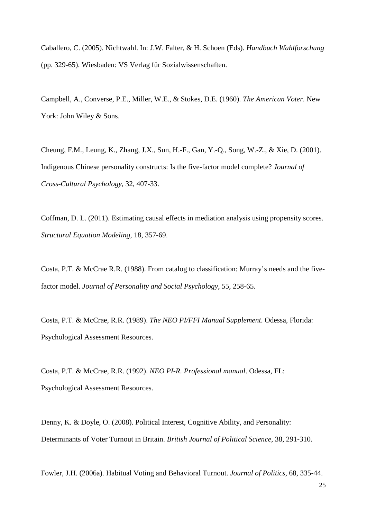Caballero, C. (2005). Nichtwahl. In: J.W. Falter, & H. Schoen (Eds). *Handbuch Wahlforschung* (pp. 329-65). Wiesbaden: VS Verlag für Sozialwissenschaften.

Campbell, A., Converse, P.E., Miller, W.E., & Stokes, D.E. (1960). *The American Voter*. New York: John Wiley & Sons.

Cheung, F.M., Leung, K., Zhang, J.X., Sun, H.-F., Gan, Y.-Q., Song, W.-Z., & Xie, D. (2001). Indigenous Chinese personality constructs: Is the five-factor model complete? *Journal of Cross-Cultural Psychology*, 32, 407-33.

Coffman, D. L. (2011). Estimating causal effects in mediation analysis using propensity scores. *Structural Equation Modeling*, 18, 357-69.

Costa, P.T. & McCrae R.R. (1988). From catalog to classification: Murray's needs and the fivefactor model. *Journal of Personality and Social Psychology*, 55, 258-65.

Costa, P.T. & McCrae, R.R. (1989). *The NEO PI/FFI Manual Supplement*. Odessa, Florida: Psychological Assessment Resources.

Costa, P.T. & McCrae, R.R. (1992). *NEO PI-R. Professional manual*. Odessa, FL: Psychological Assessment Resources.

Denny, K. & Doyle, O. (2008). Political Interest, Cognitive Ability, and Personality: Determinants of Voter Turnout in Britain. *British Journal of Political Science*, 38, 291-310.

Fowler, J.H. (2006a). Habitual Voting and Behavioral Turnout. *Journal of Politics*, 68, 335-44.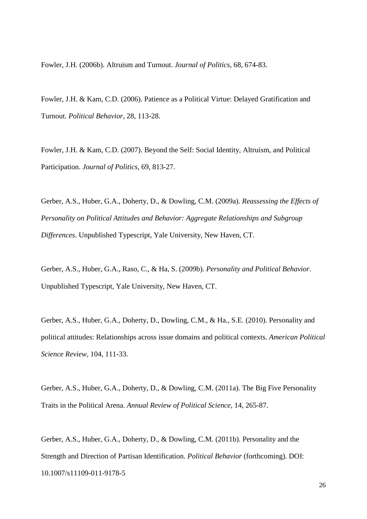Fowler, J.H. (2006b). Altruism and Turnout. *Journal of Politics*, 68, 674-83.

Fowler, J.H. & Kam, C.D. (2006). Patience as a Political Virtue: Delayed Gratification and Turnout. *Political Behavior*, 28, 113-28.

Fowler, J.H. & Kam, C.D. (2007). Beyond the Self: Social Identity, Altruism, and Political Participation. *Journal of Politics*, 69, 813-27.

Gerber, A.S., Huber, G.A., Doherty, D., & Dowling, C.M. (2009a). *Reassessing the Effects of Personality on Political Attitudes and Behavior: Aggregate Relationships and Subgroup Differences*. Unpublished Typescript, Yale University, New Haven, CT.

Gerber, A.S., Huber, G.A., Raso, C., & Ha, S. (2009b). *Personality and Political Behavior*. Unpublished Typescript, Yale University, New Haven, CT.

Gerber, A.S., Huber, G.A., Doherty, D., Dowling, C.M., & Ha., S.E. (2010). Personality and political attitudes: Relationships across issue domains and political contexts. *American Political Science Review*, 104, 111-33.

Gerber, A.S., Huber, G.A., Doherty, D., & Dowling, C.M. (2011a). The Big Five Personality Traits in the Political Arena. *Annual Review of Political Science*, 14, 265-87.

Gerber, A.S., Huber, G.A., Doherty, D., & Dowling, C.M. (2011b). Personality and the Strength and Direction of Partisan Identification. *Political Behavior* (forthcoming). DOI: 10.1007/s11109-011-9178-5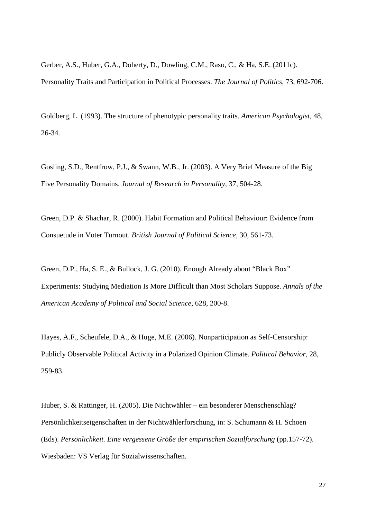Gerber, A.S., Huber, G.A., Doherty, D., Dowling, C.M., Raso, C., & Ha, S.E. (2011c). Personality Traits and Participation in Political Processes. *The Journal of Politics*, 73, 692-706.

Goldberg, L. (1993). The structure of phenotypic personality traits. *American Psychologist*, 48, 26-34.

Gosling, S.D., Rentfrow, P.J., & Swann, W.B., Jr. (2003). A Very Brief Measure of the Big Five Personality Domains. *Journal of Research in Personality*, 37, 504-28.

Green, D.P. & Shachar, R. (2000). Habit Formation and Political Behaviour: Evidence from Consuetude in Voter Turnout. *British Journal of Political Science*, 30, 561-73.

Green, D.P., Ha, S. E., & Bullock, J. G. (2010). Enough Already about "Black Box" Experiments: Studying Mediation Is More Difficult than Most Scholars Suppose. *Annals of the American Academy of Political and Social Science*, 628, 200-8.

Hayes, A.F., Scheufele, D.A., & Huge, M.E. (2006). Nonparticipation as Self-Censorship: Publicly Observable Political Activity in a Polarized Opinion Climate. *Political Behavior*, 28, 259-83.

Huber, S. & Rattinger, H. (2005). Die Nichtwähler – ein besonderer Menschenschlag? Persönlichkeitseigenschaften in der Nichtwählerforschung, in: S. Schumann & H. Schoen (Eds). *Persönlichkeit. Eine vergessene Größe der empirischen Sozialforschung* (pp.157-72). Wiesbaden: VS Verlag für Sozialwissenschaften.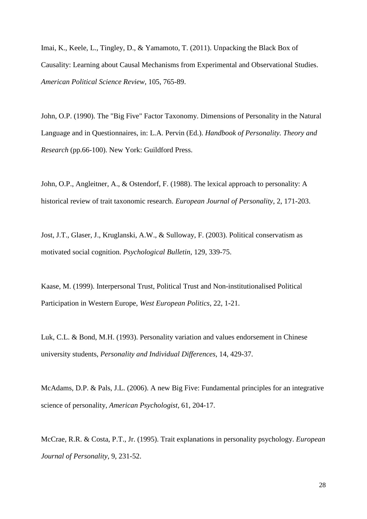Imai, K., Keele, L., Tingley, D., & Yamamoto, T. (2011). Unpacking the Black Box of Causality: Learning about Causal Mechanisms from Experimental and Observational Studies. *American Political Science Review*, 105, 765-89.

John, O.P. (1990). The "Big Five" Factor Taxonomy. Dimensions of Personality in the Natural Language and in Questionnaires, in: L.A. Pervin (Ed.). *Handbook of Personality. Theory and Research* (pp.66-100). New York: Guildford Press.

John, O.P., Angleitner, A., & Ostendorf, F. (1988). The lexical approach to personality: A historical review of trait taxonomic research. *European Journal of Personality*, 2, 171-203.

Jost, J.T., Glaser, J., Kruglanski, A.W., & Sulloway, F. (2003). [Political conservatism as](https://collaborate.northwestern.edu/owa/redir.aspx?C=0309184100754b1f8bb1e750a1b7fde8&URL=http%3a%2f%2fwww.wam.umd.edu%2f%257Ehannahk%2fbulletin.pdf)  [motivated social cognition.](https://collaborate.northwestern.edu/owa/redir.aspx?C=0309184100754b1f8bb1e750a1b7fde8&URL=http%3a%2f%2fwww.wam.umd.edu%2f%257Ehannahk%2fbulletin.pdf) *Psychological Bulletin*, 129, 339-75.

Kaase, M. (1999). Interpersonal Trust, Political Trust and Non-institutionalised Political Participation in Western Europe, *West European Politics*, 22, 1-21.

Luk, C.L. & Bond, M.H. (1993). Personality variation and values endorsement in Chinese university students, *Personality and Individual Differences*, 14, 429-37.

McAdams, D.P. & Pals, J.L. (2006). A new Big Five: Fundamental principles for an integrative science of personality, *American Psychologist*, 61, 204-17.

McCrae, R.R. & Costa, P.T., Jr. (1995). Trait explanations in personality psychology. *European Journal of Personality*, 9, 231-52.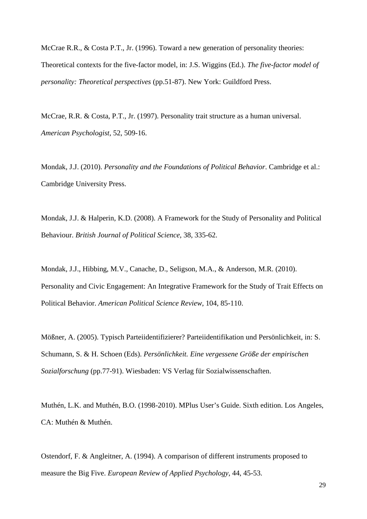McCrae R.R., & Costa P.T., Jr. (1996). Toward a new generation of personality theories: Theoretical contexts for the five-factor model, in: J.S. Wiggins (Ed.). *The five-factor model of personality: Theoretical perspectives* (pp.51-87). New York: Guildford Press.

McCrae, R.R. & Costa, P.T., Jr. (1997). Personality trait structure as a human universal. *American Psychologist*, 52, 509-16.

Mondak, J.J. (2010). *Personality and the Foundations of Political Behavior*. Cambridge et al.: Cambridge University Press.

Mondak, J.J. & Halperin, K.D. (2008). A Framework for the Study of Personality and Political Behaviour. *British Journal of Political Science*, 38, 335-62.

Mondak, J.J., Hibbing, M.V., Canache, D., Seligson, M.A., & Anderson, M.R. (2010). Personality and Civic Engagement: An Integrative Framework for the Study of Trait Effects on Political Behavior. *American Political Science Review*, 104, 85-110.

Mößner, A. (2005). Typisch Parteiidentifizierer? Parteiidentifikation und Persönlichkeit, in: S. Schumann, S. & H. Schoen (Eds). *Persönlichkeit. Eine vergessene Größe der empirischen Sozialforschung* (pp.77-91). Wiesbaden: VS Verlag für Sozialwissenschaften.

Muthén, L.K. and Muthén, B.O. (1998-2010). MPlus User's Guide. Sixth edition. Los Angeles, CA: Muthén & Muthén.

Ostendorf, F. & Angleitner, A. (1994). A comparison of different instruments proposed to measure the Big Five. *European Review of Applied Psychology*, 44, 45-53.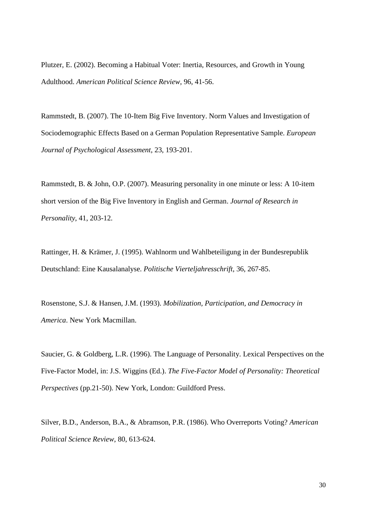Plutzer, E. (2002). Becoming a Habitual Voter: Inertia, Resources, and Growth in Young Adulthood. *American Political Science Review*, 96, 41-56.

Rammstedt, B. (2007). The 10-Item Big Five Inventory. Norm Values and Investigation of Sociodemographic Effects Based on a German Population Representative Sample. *European Journal of Psychological Assessment*, 23, 193-201.

Rammstedt, B. & John, O.P. (2007). Measuring personality in one minute or less: A 10-item short version of the Big Five Inventory in English and German. *Journal of Research in Personality*, 41, 203-12.

Rattinger, H. & Krämer, J. (1995). Wahlnorm und Wahlbeteiligung in der Bundesrepublik Deutschland: Eine Kausalanalyse. *Politische Vierteljahresschrift*, 36, 267-85.

Rosenstone, S.J. & Hansen, J.M. (1993). *Mobilization, Participation, and Democracy in America*. New York Macmillan.

Saucier, G. & Goldberg, L.R. (1996). The Language of Personality. Lexical Perspectives on the Five-Factor Model, in: J.S. Wiggins (Ed.). *The Five-Factor Model of Personality: Theoretical Perspectives* (pp.21-50). New York, London: Guildford Press.

Silver, B.D., Anderson, B.A., & Abramson, P.R. (1986). Who Overreports Voting? *American Political Science Review*, 80, 613-624.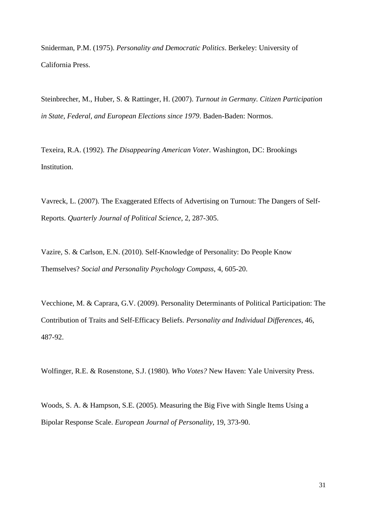Sniderman, P.M. (1975). *Personality and Democratic Politics*. Berkeley: University of California Press.

Steinbrecher, M., Huber, S. & Rattinger, H. (2007). *Turnout in Germany. Citizen Participation in State, Federal, and European Elections since 1979*. Baden-Baden: Normos.

Texeira, R.A. (1992). *The Disappearing American Voter*. Washington, DC: Brookings Institution.

Vavreck, L. (2007). The Exaggerated Effects of Advertising on Turnout: The Dangers of Self-Reports. *Quarterly Journal of Political Science*, 2, 287-305.

Vazire, S. & Carlson, E.N. (2010). Self-Knowledge of Personality: Do People Know Themselves? *Social and Personality Psychology Compass*, 4, 605-20.

Vecchione, M. & Caprara, G.V. (2009). Personality Determinants of Political Participation: The Contribution of Traits and Self-Efficacy Beliefs. *Personality and Individual Differences*, 46, 487-92.

Wolfinger, R.E. & Rosenstone, S.J. (1980). *Who Votes?* New Haven: Yale University Press.

Woods, S. A. & Hampson, S.E. (2005). Measuring the Big Five with Single Items Using a Bipolar Response Scale. *European Journal of Personality*, 19, 373-90.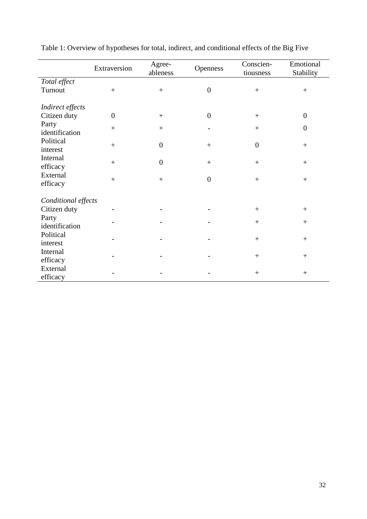|                     | Extraversion    | Agree-<br>ableness | Openness       | Conscien-<br>tiousness | Emotional<br>Stability |  |
|---------------------|-----------------|--------------------|----------------|------------------------|------------------------|--|
| Total effect        |                 |                    |                |                        |                        |  |
| Turnout             | $\! + \!\!\!\!$ | $\boldsymbol{+}$   | $\overline{0}$ |                        | $\boldsymbol{+}$       |  |
|                     |                 |                    |                |                        |                        |  |
| Indirect effects    |                 |                    |                |                        |                        |  |
| Citizen duty        | $\overline{0}$  | $+$                | $\overline{0}$ | $^{+}$                 | $\overline{0}$         |  |
| Party               |                 |                    |                |                        | $\boldsymbol{0}$       |  |
| identification      | $\! + \!\!\!\!$ | $+$                |                |                        |                        |  |
| Political           |                 | $\overline{0}$     | $+$            | $\boldsymbol{0}$       | $\boldsymbol{+}$       |  |
| interest            |                 |                    |                |                        |                        |  |
| Internal            | $\! + \!\!\!\!$ | $\overline{0}$     | $+$            |                        |                        |  |
| efficacy            |                 |                    |                |                        |                        |  |
| External            | $+$             | $^{+}$             | $\overline{0}$ |                        | $^{+}$                 |  |
| efficacy            |                 |                    |                |                        |                        |  |
|                     |                 |                    |                |                        |                        |  |
| Conditional effects |                 |                    |                |                        |                        |  |
| Citizen duty        |                 |                    |                | $^{+}$                 | $^{+}$                 |  |
| Party               |                 |                    |                | $+$                    | $+$                    |  |
| identification      |                 |                    |                |                        |                        |  |
| Political           |                 |                    |                |                        |                        |  |
| interest            |                 |                    |                |                        |                        |  |
| Internal            |                 |                    |                | $+$                    |                        |  |
| efficacy            |                 |                    |                |                        |                        |  |
| External            |                 |                    |                | $^{+}$                 | $^{+}$                 |  |
| efficacy            |                 |                    |                |                        |                        |  |

Table 1: Overview of hypotheses for total, indirect, and conditional effects of the Big Five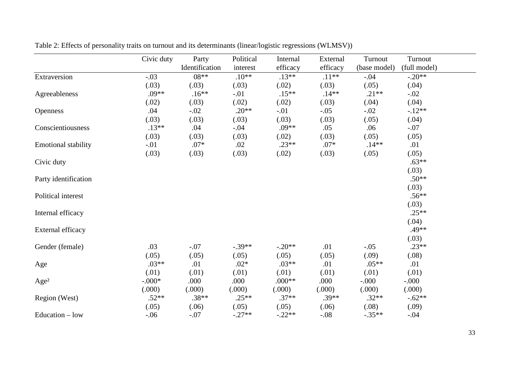| Civic duty                           | Party<br>Identification | Political<br>interest | Internal<br>efficacy | External<br>efficacy | Turnout<br>(base model) | Turnout<br>(full model) |  |
|--------------------------------------|-------------------------|-----------------------|----------------------|----------------------|-------------------------|-------------------------|--|
| Extraversion<br>$-.03$               | $08**$                  | $.10**$               | $.13**$              | $.11**$              | $-.04$                  | $-.20**$                |  |
| (.03)                                | (.03)                   | (.03)                 | (.02)                | (.03)                | (.05)                   | (.04)                   |  |
| $.09**$<br>Agreeableness             | $.16**$                 | $-.01$                | $.15**$              | $.14**$              | $.21**$                 | $-.02$                  |  |
| (.02)                                | (.03)                   | (.02)                 | (.02)                | (.03)                | (.04)                   | (.04)                   |  |
| .04<br>Openness                      | $-.02$                  | $.20**$               | $-.01$               | $-.05$               | $-.02$                  | $-.12**$                |  |
| (.03)                                | (.03)                   | (.03)                 | (.03)                | (.03)                | (.05)                   | (.04)                   |  |
| $.13**$<br>Conscientiousness         | .04                     | $-.04$                | $.09**$              | .05                  | .06                     | $-.07$                  |  |
| (.03)                                | (.03)                   | (.03)                 | (.02)                | (.03)                | (.05)                   | (.05)                   |  |
| $-.01$<br><b>Emotional stability</b> | $.07*$                  | .02                   | $.23**$              | $.07*$               | $.14**$                 | .01                     |  |
| (.03)                                | (.03)                   | (.03)                 | (.02)                | (.03)                | (.05)                   | (.05)                   |  |
| Civic duty                           |                         |                       |                      |                      |                         | $.63**$                 |  |
|                                      |                         |                       |                      |                      |                         | (.03)                   |  |
| Party identification                 |                         |                       |                      |                      |                         | $.50**$                 |  |
|                                      |                         |                       |                      |                      |                         | (.03)                   |  |
| Political interest                   |                         |                       |                      |                      |                         | $.56**$                 |  |
|                                      |                         |                       |                      |                      |                         | (.03)                   |  |
| Internal efficacy                    |                         |                       |                      |                      |                         | $.25**$                 |  |
|                                      |                         |                       |                      |                      |                         | (.04)                   |  |
| External efficacy                    |                         |                       |                      |                      |                         | .49**                   |  |
|                                      |                         |                       |                      |                      |                         | (.03)                   |  |
| .03<br>Gender (female)               | $-.07$                  | $-.39**$              | $-.20**$             | .01                  | $-.05$                  | $.23**$                 |  |
| (.05)                                | (.05)                   | (.05)                 | (.05)                | (.05)                | (.09)                   | (.08)                   |  |
| $.03**$<br>Age                       | .01                     | $.02*$                | $.03**$              | .01                  | $.05**$                 | .01                     |  |
| (.01)                                | (.01)                   | (.01)                 | (.01)                | (.01)                | (.01)                   | (.01)                   |  |
| $-.000*$<br>Age <sup>2</sup>         | .000                    | .000                  | $.000**$             | .000                 | $-0.000$                | $-.000$                 |  |
| (.000)                               | (.000)                  | (.000)                | (000)                | (000)                | (.000)                  | (.000)                  |  |
| Region (West)<br>$.52**$             | $.38**$                 | $.25**$               | $.37**$              | $.39**$              | $.32**$                 | $-.62**$                |  |
| (.05)                                | (.06)                   | (.05)                 | (.05)                | (.06)                | (.08)                   | (.09)                   |  |
| Education - low<br>$-.06$            | $-.07$                  | $-.27**$              | $-.22**$             | $-.08$               | $-.35**$                | $-.04$                  |  |

Table 2: Effects of personality traits on turnout and its determinants (linear/logistic regressions (WLMSV))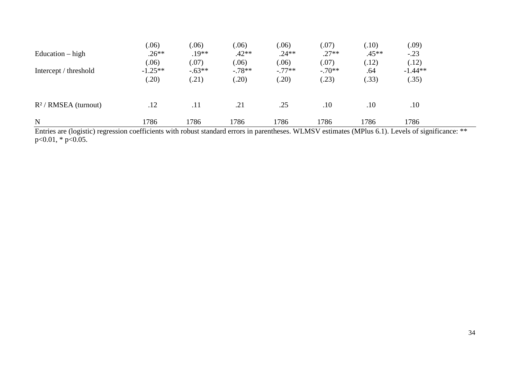|                          | 06        | 06 <sub>0</sub> | (06)     | (06)     | (.07)    | (.10)   | (0.09)    |  |
|--------------------------|-----------|-----------------|----------|----------|----------|---------|-----------|--|
| Education $-\hbox{high}$ | $.26**$   | $.19**$         | $.42**$  | $.24**$  | $.27**$  | $.45**$ | $-.23$    |  |
|                          | (.06)     | (.07)           | (.06)    | (.06)    | (07)     | (.12)   | (.12)     |  |
| Intercept / threshold    | $-1.25**$ | $-.63**$        | $-.78**$ | $-.77**$ | $-.70**$ | .64     | $-1.44**$ |  |
|                          | (.20)     | (21)            | (0.20)   | .20)     | (.23)    | (.33)   | (.35)     |  |
| $R^2$ / RMSEA (turnout)  | .12       | .11             | .21      | .25      | .10      | $.10\,$ | .10       |  |
| N                        | 1786      | 1786            | 1786     | 1786     | 1786     | 1786    | 1786      |  |

Entries are (logistic) regression coefficients with robust standard errors in parentheses. WLMSV estimates (MPlus 6.1). Levels of significance: \*\* p<0.01, \* p<0.05.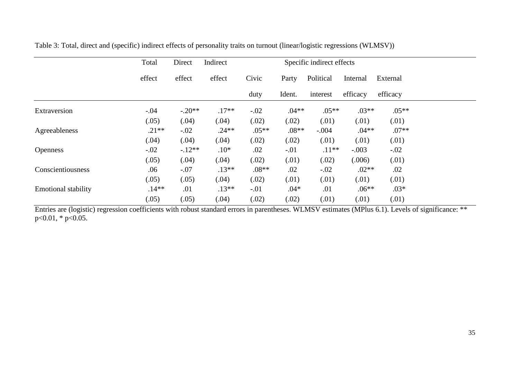|                            | Total   | Direct   | Indirect | Specific indirect effects |         |           |          |          |
|----------------------------|---------|----------|----------|---------------------------|---------|-----------|----------|----------|
|                            | effect  | effect   | effect   | Civic                     | Party   | Political | Internal | External |
|                            |         |          |          | duty                      | Ident.  | interest  | efficacy | efficacy |
| Extraversion               | $-.04$  | $-.20**$ | $.17**$  | $-.02$                    | $.04**$ | $.05**$   | $.03**$  | $.05**$  |
|                            | (.05)   | (.04)    | (.04)    | (.02)                     | (.02)   | (.01)     | (.01)    | (.01)    |
| Agreeableness              | $.21**$ | $-.02$   | $.24**$  | $.05**$                   | $.08**$ | $-.004$   | $.04**$  | $.07**$  |
|                            | (.04)   | (.04)    | (.04)    | (.02)                     | (.02)   | (.01)     | (.01)    | (.01)    |
| <b>Openness</b>            | $-.02$  | $-.12**$ | $.10*$   | .02                       | $-.01$  | $.11**$   | $-.003$  | $-.02$   |
|                            | (.05)   | (.04)    | (.04)    | (.02)                     | (.01)   | (.02)     | (.006)   | (.01)    |
| Conscientiousness          | .06     | $-.07$   | $.13**$  | $.08**$                   | .02     | $-.02$    | $.02**$  | .02      |
|                            | (.05)   | (.05)    | (.04)    | (.02)                     | (.01)   | (.01)     | (.01)    | (.01)    |
| <b>Emotional stability</b> | $.14**$ | .01      | $.13**$  | $-.01$                    | $.04*$  | .01       | $.06**$  | $.03*$   |
|                            | (.05)   | (.05)    | (.04)    | (.02)                     | (.02)   | (.01)     | (.01)    | (.01)    |

Table 3: Total, direct and (specific) indirect effects of personality traits on turnout (linear/logistic regressions (WLMSV))

Entries are (logistic) regression coefficients with robust standard errors in parentheses. WLMSV estimates (MPlus 6.1). Levels of significance: \*\* p<0.01, \* p<0.05.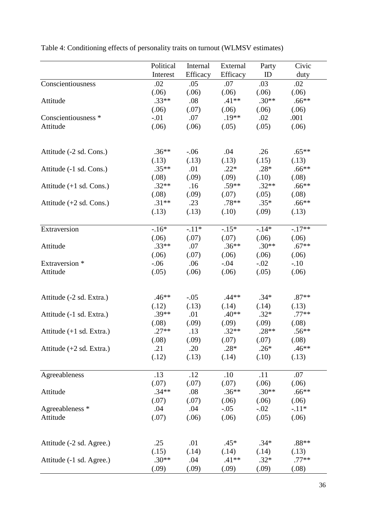| Efficacy<br>Efficacy<br>Interest<br>ID<br>duty<br>.05<br>.07<br>.03<br>.02<br>Conscientiousness<br>.02<br>(.06)<br>(.06)<br>(.06)<br>(.06)<br>(.06)<br>$.33**$<br>.08<br>$.41**$<br>$.30**$<br>$.66**$<br>Attitude<br>(.07)<br>(.06)<br>(.06)<br>(.06)<br>(.06)<br>$.19**$<br>Conscientiousness <sup>*</sup><br>$-.01$<br>.07<br>.02<br>.001<br>Attitude<br>(.06)<br>(.06)<br>(.05)<br>(.05)<br>(.06) | Political | Internal | External | Party | Civic |
|-------------------------------------------------------------------------------------------------------------------------------------------------------------------------------------------------------------------------------------------------------------------------------------------------------------------------------------------------------------------------------------------------------|-----------|----------|----------|-------|-------|
|                                                                                                                                                                                                                                                                                                                                                                                                       |           |          |          |       |       |
|                                                                                                                                                                                                                                                                                                                                                                                                       |           |          |          |       |       |
|                                                                                                                                                                                                                                                                                                                                                                                                       |           |          |          |       |       |
|                                                                                                                                                                                                                                                                                                                                                                                                       |           |          |          |       |       |
|                                                                                                                                                                                                                                                                                                                                                                                                       |           |          |          |       |       |
|                                                                                                                                                                                                                                                                                                                                                                                                       |           |          |          |       |       |
|                                                                                                                                                                                                                                                                                                                                                                                                       |           |          |          |       |       |
|                                                                                                                                                                                                                                                                                                                                                                                                       |           |          |          |       |       |
| $.36**$<br>$-.06$<br>.04<br>.26<br>$.65**$<br>Attitude (-2 sd. Cons.)                                                                                                                                                                                                                                                                                                                                 |           |          |          |       |       |
| (.13)<br>(.13)<br>(.15)<br>(.13)<br>(.13)                                                                                                                                                                                                                                                                                                                                                             |           |          |          |       |       |
| $.28*$<br>$.35**$<br>$.22*$<br>$.66**$<br>Attitude (-1 sd. Cons.)<br>.01                                                                                                                                                                                                                                                                                                                              |           |          |          |       |       |
| (.08)<br>(.09)<br>(.09)<br>(.10)<br>(.08)                                                                                                                                                                                                                                                                                                                                                             |           |          |          |       |       |
| $.32**$<br>$.59**$<br>$.32**$<br>$.66**$<br>Attitude $(+1 \text{ sd. Cons.})$<br>.16                                                                                                                                                                                                                                                                                                                  |           |          |          |       |       |
| (.05)<br>(.08)<br>(.09)<br>(.07)<br>(.08)                                                                                                                                                                                                                                                                                                                                                             |           |          |          |       |       |
| $.78**$<br>$.35*$<br>$.31**$<br>.23<br>$.66**$<br>Attitude $(+2 \text{ sd.} \text{Cons.})$                                                                                                                                                                                                                                                                                                            |           |          |          |       |       |
| (.13)<br>(.13)<br>(.10)<br>(.09)<br>(.13)                                                                                                                                                                                                                                                                                                                                                             |           |          |          |       |       |
| $-14*$<br>Extraversion<br>$-.16*$<br>$-.11*$<br>$-.15*$<br>$-.17**$                                                                                                                                                                                                                                                                                                                                   |           |          |          |       |       |
| (.06)<br>(.06)<br>(.06)<br>(.07)<br>(.07)                                                                                                                                                                                                                                                                                                                                                             |           |          |          |       |       |
| $.36**$<br>$.30**$<br>$.67**$<br>$.33**$<br>.07<br>Attitude                                                                                                                                                                                                                                                                                                                                           |           |          |          |       |       |
| (.07)<br>(.06)<br>(.06)<br>(.06)<br>(.06)                                                                                                                                                                                                                                                                                                                                                             |           |          |          |       |       |
| Extraversion *<br>$-0.06$<br>.06<br>$-0.04$<br>$-.02$<br>$-.10$                                                                                                                                                                                                                                                                                                                                       |           |          |          |       |       |
| Attitude<br>(.05)<br>(.06)<br>(.06)<br>(.05)<br>(.06)                                                                                                                                                                                                                                                                                                                                                 |           |          |          |       |       |
|                                                                                                                                                                                                                                                                                                                                                                                                       |           |          |          |       |       |
| $.87**$<br>$.46**$<br>$-.05$<br>$.44**$<br>$.34*$<br>Attitude (-2 sd. Extra.)                                                                                                                                                                                                                                                                                                                         |           |          |          |       |       |
| (.12)<br>(.13)<br>(.14)<br>(.14)<br>(.13)                                                                                                                                                                                                                                                                                                                                                             |           |          |          |       |       |
| $.39**$<br>.01<br>$.40**$<br>$.32*$<br>$.77**$<br>Attitude (-1 sd. Extra.)                                                                                                                                                                                                                                                                                                                            |           |          |          |       |       |
| (.09)<br>(.08)<br>(.09)<br>(.09)<br>(.08)                                                                                                                                                                                                                                                                                                                                                             |           |          |          |       |       |
| $.27**$<br>$.32**$<br>$.28**$<br>$.56**$<br>.13<br>Attitude $(+1 \text{ sd.} Extra.)$                                                                                                                                                                                                                                                                                                                 |           |          |          |       |       |
| (.08)<br>(.07)<br>(.07)<br>(.08)<br>(.09)                                                                                                                                                                                                                                                                                                                                                             |           |          |          |       |       |
| $.46**$<br>.21<br>.20<br>$.28*$<br>$.26*$<br>Attitude $(+2 \text{ sd.} Extra.)$                                                                                                                                                                                                                                                                                                                       |           |          |          |       |       |
| (.12)<br>(.13)<br>(.10)<br>(.13)<br>(.14)                                                                                                                                                                                                                                                                                                                                                             |           |          |          |       |       |
| Agreeableness<br>.12<br>.11<br>.07<br>.13<br>.10                                                                                                                                                                                                                                                                                                                                                      |           |          |          |       |       |
| (.06)<br>(.07)<br>(.07)<br>(.07)<br>(.06)                                                                                                                                                                                                                                                                                                                                                             |           |          |          |       |       |
| $.34**$<br>.08<br>$.30**$<br>$.36**$<br>$.66**$<br>Attitude                                                                                                                                                                                                                                                                                                                                           |           |          |          |       |       |
| (.07)<br>(.06)<br>(.07)<br>(.06)<br>(.06)                                                                                                                                                                                                                                                                                                                                                             |           |          |          |       |       |
| $-.02$<br>Agreeableness *<br>.04<br>.04<br>$-.05$<br>$-.11*$                                                                                                                                                                                                                                                                                                                                          |           |          |          |       |       |
| Attitude<br>(.07)<br>(.06)<br>(.06)<br>(.05)<br>(.06)                                                                                                                                                                                                                                                                                                                                                 |           |          |          |       |       |
|                                                                                                                                                                                                                                                                                                                                                                                                       |           |          |          |       |       |
| .01<br>$.88**$<br>Attitude (-2 sd. Agree.)<br>.25<br>$.45*$<br>$.34*$                                                                                                                                                                                                                                                                                                                                 |           |          |          |       |       |
| (.15)<br>(.14)<br>(.14)<br>(.14)<br>(.13)                                                                                                                                                                                                                                                                                                                                                             |           |          |          |       |       |
| $.30**$<br>$.32*$<br>$.77**$<br>.04<br>$.41**$<br>Attitude (-1 sd. Agree.)                                                                                                                                                                                                                                                                                                                            |           |          |          |       |       |
| (.09)<br>(.09)<br>(.09)<br>(.09)<br>(.08)                                                                                                                                                                                                                                                                                                                                                             |           |          |          |       |       |

Table 4: Conditioning effects of personality traits on turnout (WLMSV estimates)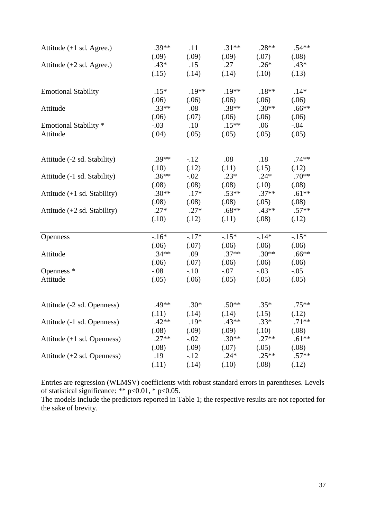| Attitude $(+1 \text{ sd.}$ Agree.)        | $.39**$ | .11     | $.31**$ | $.28**$ | $.54**$ |
|-------------------------------------------|---------|---------|---------|---------|---------|
|                                           | (.09)   | (.09)   | (.09)   | (.07)   | (.08)   |
| Attitude $(+2 \text{ sd.} \text{Agree.})$ | $.43*$  | .15     | .27     | $.26*$  | $.43*$  |
|                                           | (.15)   | (.14)   | (.14)   | (.10)   | (.13)   |
|                                           |         |         |         |         |         |
| <b>Emotional Stability</b>                | $.15*$  | $.19**$ | $.19**$ | $.18**$ | $.14*$  |
|                                           | (.06)   | (.06)   | (.06)   | (.06)   | (.06)   |
| Attitude                                  | $.33**$ | .08     | $.38**$ | $.30**$ | $.66**$ |
|                                           | (.06)   | (.07)   | (.06)   | (.06)   | (.06)   |
| <b>Emotional Stability</b> *              | $-.03$  | .10     | $.15**$ | .06     | $-.04$  |
| Attitude                                  | (.04)   | (.05)   | (.05)   | (.05)   | (.05)   |
| Attitude (-2 sd. Stability)               | $.39**$ | $-.12$  | .08     | .18     | $.74**$ |
|                                           | (.10)   | (.12)   | (.11)   | (.15)   | (.12)   |
| Attitude (-1 sd. Stability)               | $.36**$ | $-.02$  | $.23*$  | $.24*$  | $.70**$ |
|                                           | (.08)   | (.08)   | (.08)   | (.10)   | (.08)   |
| Attitude $(+1 \text{ sd. Stability})$     | $.30**$ | $.17*$  | $.53**$ | $.37**$ | $.61**$ |
|                                           | (.08)   | (.08)   | (.08)   | (.05)   | (.08)   |
| Attitude (+2 sd. Stability)               | $.27*$  | $.27*$  | $.68**$ | $.43**$ | $.57**$ |
|                                           | (.10)   | (.12)   | (.11)   | (.08)   | (.12)   |
| <b>Openness</b>                           | $-16*$  | $-.17*$ | $-15*$  | $-14*$  | $-.15*$ |
|                                           | (.06)   | (.07)   | (.06)   | (.06)   | (.06)   |
| Attitude                                  | $.34**$ | .09     | $.37**$ | $.30**$ | $.66**$ |
|                                           | (.06)   | (.07)   | (.06)   | (.06)   | (.06)   |
| Openness <sup>*</sup>                     | $-.08$  | $-.10$  | $-.07$  | $-.03$  | $-.05$  |
| Attitude                                  | (.05)   | (.06)   | (.05)   | (.05)   | (.05)   |
|                                           |         |         |         |         |         |
| Attitude (-2 sd. Openness)                | $.49**$ | $.30*$  | $.50**$ | $.35*$  | $.75**$ |
|                                           | (.11)   | (.14)   | (.14)   | (.15)   | (.12)   |
| Attitude (-1 sd. Openness)                | $.42**$ | $.19*$  | $.43**$ | $.33*$  | $.71**$ |
|                                           | (.08)   | (.09)   | (.09)   | (.10)   | (.08)   |
| Attitude $(+1 \text{ sd.}$ Openness)      | $.27**$ | $-.02$  | $.30**$ | $.27**$ | $.61**$ |
|                                           | (.08)   | (.09)   | (.07)   | (.05)   | (.08)   |
| Attitude $(+2 \text{ sd. Openness})$      | .19     | $-.12$  | $.24*$  | $.25**$ | $.57**$ |
|                                           | (.11)   | (.14)   | (.10)   | (.08)   | (.12)   |
|                                           |         |         |         |         |         |

Entries are regression (WLMSV) coefficients with robust standard errors in parentheses. Levels of statistical significance: \*\* p<0.01, \* p<0.05.

The models include the predictors reported in Table 1; the respective results are not reported for the sake of brevity.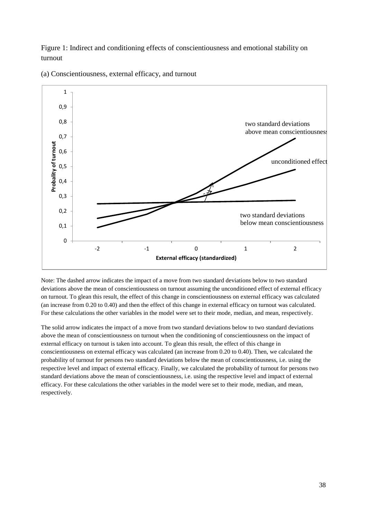Figure 1: Indirect and conditioning effects of conscientiousness and emotional stability on turnout



(a) Conscientiousness, external efficacy, and turnout

Note: The dashed arrow indicates the impact of a move from two standard deviations below to two standard deviations above the mean of conscientiousness on turnout assuming the unconditioned effect of external efficacy on turnout. To glean this result, the effect of this change in conscientiousness on external efficacy was calculated (an increase from 0.20 to 0.40) and then the effect of this change in external efficacy on turnout was calculated. For these calculations the other variables in the model were set to their mode, median, and mean, respectively.

The solid arrow indicates the impact of a move from two standard deviations below to two standard deviations above the mean of conscientiousness on turnout when the conditioning of conscientiousness on the impact of external efficacy on turnout is taken into account. To glean this result, the effect of this change in conscientiousness on external efficacy was calculated (an increase from 0.20 to 0.40). Then, we calculated the probability of turnout for persons two standard deviations below the mean of conscientiousness, i.e. using the respective level and impact of external efficacy. Finally, we calculated the probability of turnout for persons two standard deviations above the mean of conscientiousness, i.e. using the respective level and impact of external efficacy. For these calculations the other variables in the model were set to their mode, median, and mean, respectively.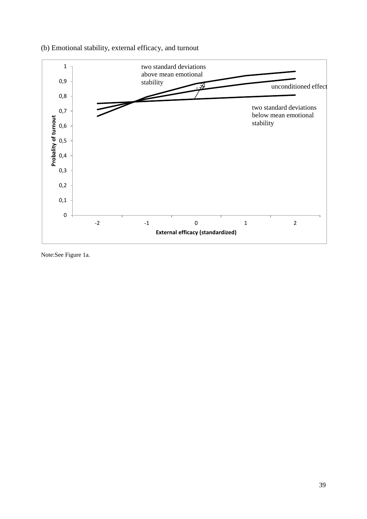

(b) Emotional stability, external efficacy, and turnout

Note:See Figure 1a.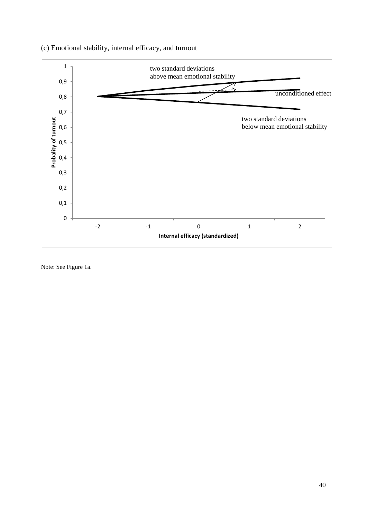

# (c) Emotional stability, internal efficacy, and turnout

Note: See Figure 1a.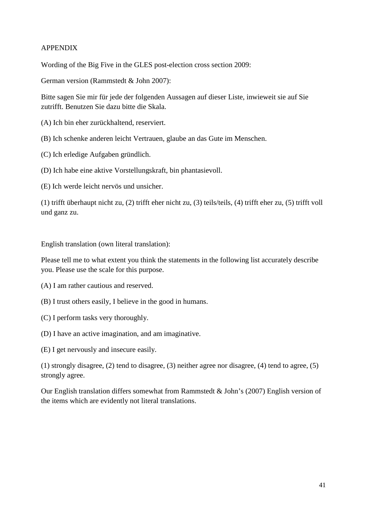## APPENDIX

Wording of the Big Five in the GLES post-election cross section 2009:

German version (Rammstedt & John 2007):

Bitte sagen Sie mir für jede der folgenden Aussagen auf dieser Liste, inwieweit sie auf Sie zutrifft. Benutzen Sie dazu bitte die Skala.

(A) Ich bin eher zurückhaltend, reserviert.

(B) Ich schenke anderen leicht Vertrauen, glaube an das Gute im Menschen.

(C) Ich erledige Aufgaben gründlich.

(D) Ich habe eine aktive Vorstellungskraft, bin phantasievoll.

(E) Ich werde leicht nervös und unsicher.

(1) trifft überhaupt nicht zu, (2) trifft eher nicht zu, (3) teils/teils, (4) trifft eher zu, (5) trifft voll und ganz zu.

English translation (own literal translation):

Please tell me to what extent you think the statements in the following list accurately describe you. Please use the scale for this purpose.

- (A) I am rather cautious and reserved.
- (B) I trust others easily, I believe in the good in humans.
- (C) I perform tasks very thoroughly.
- (D) I have an active imagination, and am imaginative.
- (E) I get nervously and insecure easily.

(1) strongly disagree, (2) tend to disagree, (3) neither agree nor disagree, (4) tend to agree, (5) strongly agree.

Our English translation differs somewhat from Rammstedt & John's (2007) English version of the items which are evidently not literal translations.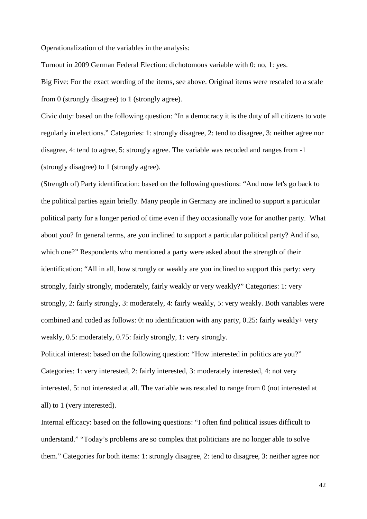Operationalization of the variables in the analysis:

Turnout in 2009 German Federal Election: dichotomous variable with 0: no, 1: yes.

Big Five: For the exact wording of the items, see above. Original items were rescaled to a scale from 0 (strongly disagree) to 1 (strongly agree).

Civic duty: based on the following question: "In a democracy it is the duty of all citizens to vote regularly in elections." Categories: 1: strongly disagree, 2: tend to disagree, 3: neither agree nor disagree, 4: tend to agree, 5: strongly agree. The variable was recoded and ranges from -1 (strongly disagree) to 1 (strongly agree).

(Strength of) Party identification: based on the following questions: "And now let's go back to the political parties again briefly. Many people in Germany are inclined to support a particular political party for a longer period of time even if they occasionally vote for another party. What about you? In general terms, are you inclined to support a particular political party? And if so, which one?" Respondents who mentioned a party were asked about the strength of their identification: "All in all, how strongly or weakly are you inclined to support this party: very strongly, fairly strongly, moderately, fairly weakly or very weakly?" Categories: 1: very strongly, 2: fairly strongly, 3: moderately, 4: fairly weakly, 5: very weakly. Both variables were combined and coded as follows: 0: no identification with any party, 0.25: fairly weakly+ very weakly, 0.5: moderately, 0.75: fairly strongly, 1: very strongly.

Political interest: based on the following question: "How interested in politics are you?" Categories: 1: very interested, 2: fairly interested, 3: moderately interested, 4: not very interested, 5: not interested at all. The variable was rescaled to range from 0 (not interested at all) to 1 (very interested).

Internal efficacy: based on the following questions: "I often find political issues difficult to understand." "Today's problems are so complex that politicians are no longer able to solve them." Categories for both items: 1: strongly disagree, 2: tend to disagree, 3: neither agree nor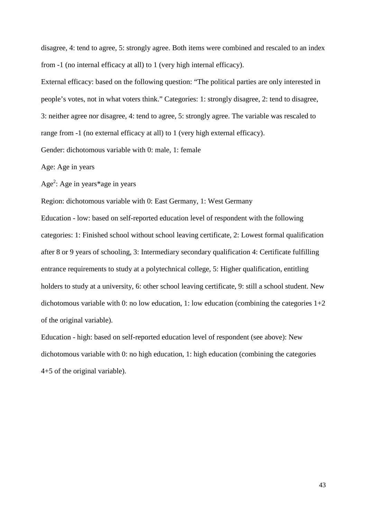disagree, 4: tend to agree, 5: strongly agree. Both items were combined and rescaled to an index from -1 (no internal efficacy at all) to 1 (very high internal efficacy).

External efficacy: based on the following question: "The political parties are only interested in people's votes, not in what voters think." Categories: 1: strongly disagree, 2: tend to disagree, 3: neither agree nor disagree, 4: tend to agree, 5: strongly agree. The variable was rescaled to range from -1 (no external efficacy at all) to 1 (very high external efficacy).

Gender: dichotomous variable with 0: male, 1: female

Age: Age in years

Age<sup>2</sup>: Age in years\*age in years

Region: dichotomous variable with 0: East Germany, 1: West Germany

Education - low: based on self-reported education level of respondent with the following categories: 1: Finished school without school leaving certificate, 2: Lowest formal qualification after 8 or 9 years of schooling, 3: Intermediary secondary qualification 4: Certificate fulfilling entrance requirements to study at a polytechnical college, 5: Higher qualification, entitling holders to study at a university, 6: other school leaving certificate, 9: still a school student. New dichotomous variable with 0: no low education, 1: low education (combining the categories  $1+2$ of the original variable).

Education - high: based on self-reported education level of respondent (see above): New dichotomous variable with 0: no high education, 1: high education (combining the categories 4+5 of the original variable).